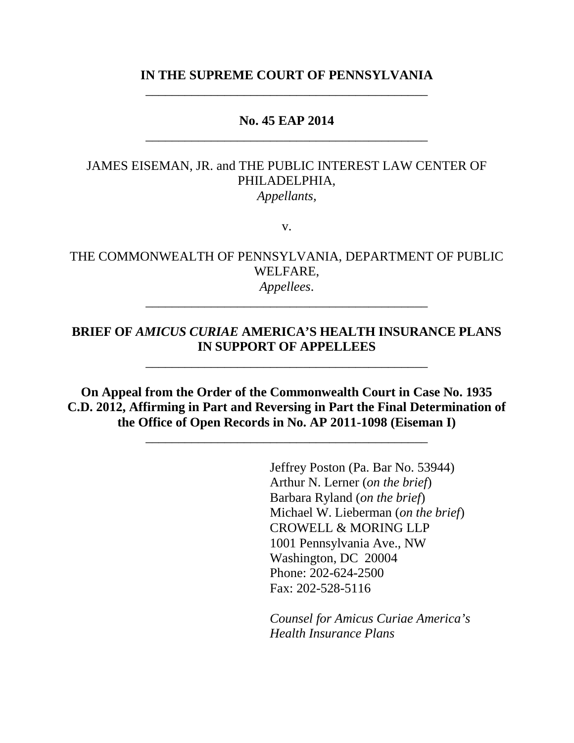## **IN THE SUPREME COURT OF PENNSYLVANIA** \_\_\_\_\_\_\_\_\_\_\_\_\_\_\_\_\_\_\_\_\_\_\_\_\_\_\_\_\_\_\_\_\_\_\_\_\_\_\_\_\_\_\_

### **No. 45 EAP 2014** \_\_\_\_\_\_\_\_\_\_\_\_\_\_\_\_\_\_\_\_\_\_\_\_\_\_\_\_\_\_\_\_\_\_\_\_\_\_\_\_\_\_\_

### JAMES EISEMAN, JR. and THE PUBLIC INTEREST LAW CENTER OF PHILADELPHIA, *Appellants,*

v.

### THE COMMONWEALTH OF PENNSYLVANIA, DEPARTMENT OF PUBLIC WELFARE, *Appellees*.

\_\_\_\_\_\_\_\_\_\_\_\_\_\_\_\_\_\_\_\_\_\_\_\_\_\_\_\_\_\_\_\_\_\_\_\_\_\_\_\_\_\_\_

# **BRIEF OF** *AMICUS CURIAE* **AMERICA'S HEALTH INSURANCE PLANS IN SUPPORT OF APPELLEES**

\_\_\_\_\_\_\_\_\_\_\_\_\_\_\_\_\_\_\_\_\_\_\_\_\_\_\_\_\_\_\_\_\_\_\_\_\_\_\_\_\_\_\_

**On Appeal from the Order of the Commonwealth Court in Case No. 1935 C.D. 2012, Affirming in Part and Reversing in Part the Final Determination of the Office of Open Records in No. AP 2011-1098 (Eiseman I)**

\_\_\_\_\_\_\_\_\_\_\_\_\_\_\_\_\_\_\_\_\_\_\_\_\_\_\_\_\_\_\_\_\_\_\_\_\_\_\_\_\_\_\_

Jeffrey Poston (Pa. Bar No. 53944) Arthur N. Lerner (*on the brief*) Barbara Ryland (*on the brief*) Michael W. Lieberman (*on the brief*) CROWELL & MORING LLP 1001 Pennsylvania Ave., NW Washington, DC 20004 Phone: 202-624-2500 Fax: 202-528-5116

*Counsel for Amicus Curiae America's Health Insurance Plans*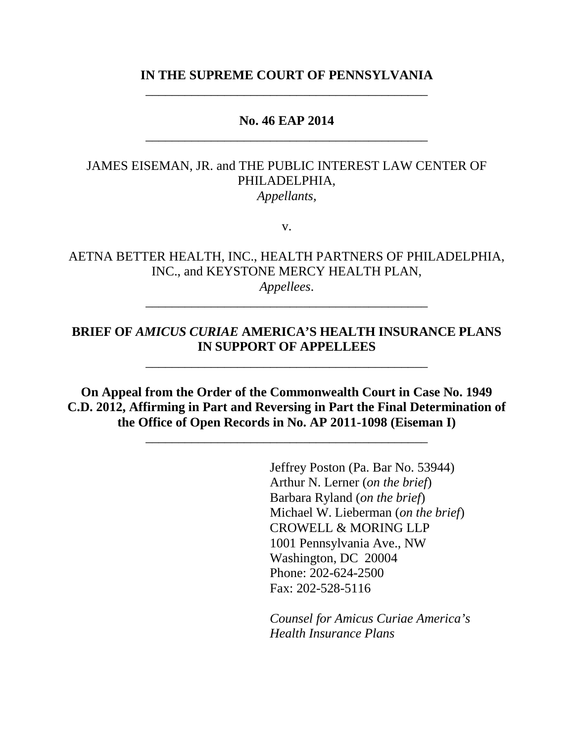## **IN THE SUPREME COURT OF PENNSYLVANIA** \_\_\_\_\_\_\_\_\_\_\_\_\_\_\_\_\_\_\_\_\_\_\_\_\_\_\_\_\_\_\_\_\_\_\_\_\_\_\_\_\_\_\_

### **No. 46 EAP 2014** \_\_\_\_\_\_\_\_\_\_\_\_\_\_\_\_\_\_\_\_\_\_\_\_\_\_\_\_\_\_\_\_\_\_\_\_\_\_\_\_\_\_\_

### JAMES EISEMAN, JR. and THE PUBLIC INTEREST LAW CENTER OF PHILADELPHIA, *Appellants,*

v.

### AETNA BETTER HEALTH, INC., HEALTH PARTNERS OF PHILADELPHIA, INC., and KEYSTONE MERCY HEALTH PLAN, *Appellees*.

\_\_\_\_\_\_\_\_\_\_\_\_\_\_\_\_\_\_\_\_\_\_\_\_\_\_\_\_\_\_\_\_\_\_\_\_\_\_\_\_\_\_\_

# **BRIEF OF** *AMICUS CURIAE* **AMERICA'S HEALTH INSURANCE PLANS IN SUPPORT OF APPELLEES**

\_\_\_\_\_\_\_\_\_\_\_\_\_\_\_\_\_\_\_\_\_\_\_\_\_\_\_\_\_\_\_\_\_\_\_\_\_\_\_\_\_\_\_

**On Appeal from the Order of the Commonwealth Court in Case No. 1949 C.D. 2012, Affirming in Part and Reversing in Part the Final Determination of the Office of Open Records in No. AP 2011-1098 (Eiseman I)**

\_\_\_\_\_\_\_\_\_\_\_\_\_\_\_\_\_\_\_\_\_\_\_\_\_\_\_\_\_\_\_\_\_\_\_\_\_\_\_\_\_\_\_

Jeffrey Poston (Pa. Bar No. 53944) Arthur N. Lerner (*on the brief*) Barbara Ryland (*on the brief*) Michael W. Lieberman (*on the brief*) CROWELL & MORING LLP 1001 Pennsylvania Ave., NW Washington, DC 20004 Phone: 202-624-2500 Fax: 202-528-5116

*Counsel for Amicus Curiae America's Health Insurance Plans*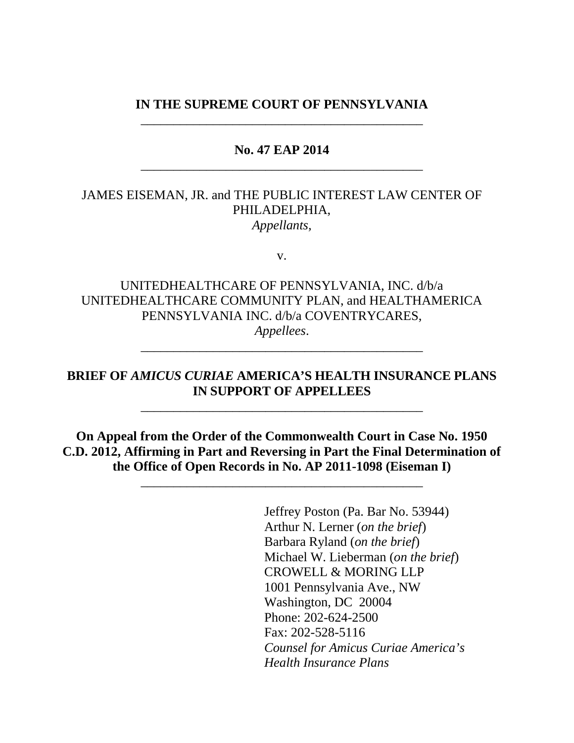### **IN THE SUPREME COURT OF PENNSYLVANIA** \_\_\_\_\_\_\_\_\_\_\_\_\_\_\_\_\_\_\_\_\_\_\_\_\_\_\_\_\_\_\_\_\_\_\_\_\_\_\_\_\_\_\_

## **No. 47 EAP 2014** \_\_\_\_\_\_\_\_\_\_\_\_\_\_\_\_\_\_\_\_\_\_\_\_\_\_\_\_\_\_\_\_\_\_\_\_\_\_\_\_\_\_\_

## JAMES EISEMAN, JR. and THE PUBLIC INTEREST LAW CENTER OF PHILADELPHIA, *Appellants,*

v.

UNITEDHEALTHCARE OF PENNSYLVANIA, INC. d/b/a UNITEDHEALTHCARE COMMUNITY PLAN, and HEALTHAMERICA PENNSYLVANIA INC. d/b/a COVENTRYCARES, *Appellees*.

## **BRIEF OF** *AMICUS CURIAE* **AMERICA'S HEALTH INSURANCE PLANS IN SUPPORT OF APPELLEES**

\_\_\_\_\_\_\_\_\_\_\_\_\_\_\_\_\_\_\_\_\_\_\_\_\_\_\_\_\_\_\_\_\_\_\_\_\_\_\_\_\_\_\_

\_\_\_\_\_\_\_\_\_\_\_\_\_\_\_\_\_\_\_\_\_\_\_\_\_\_\_\_\_\_\_\_\_\_\_\_\_\_\_\_\_\_\_

**On Appeal from the Order of the Commonwealth Court in Case No. 1950 C.D. 2012, Affirming in Part and Reversing in Part the Final Determination of the Office of Open Records in No. AP 2011-1098 (Eiseman I)**

\_\_\_\_\_\_\_\_\_\_\_\_\_\_\_\_\_\_\_\_\_\_\_\_\_\_\_\_\_\_\_\_\_\_\_\_\_\_\_\_\_\_\_

Jeffrey Poston (Pa. Bar No. 53944) Arthur N. Lerner (*on the brief*) Barbara Ryland (*on the brief*) Michael W. Lieberman (*on the brief*) CROWELL & MORING LLP 1001 Pennsylvania Ave., NW Washington, DC 20004 Phone: 202-624-2500 Fax: 202-528-5116 *Counsel for Amicus Curiae America's Health Insurance Plans*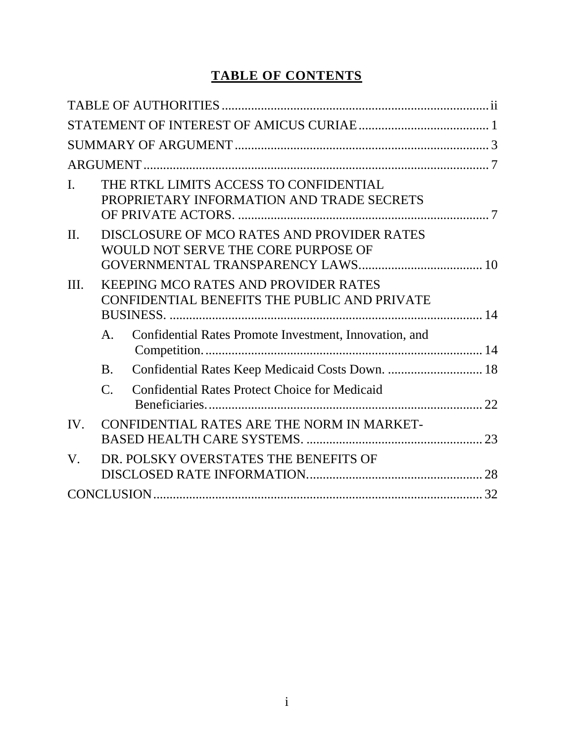# **TABLE OF CONTENTS**

| $\mathbf{I}$ . |                                                                                             | THE RTKL LIMITS ACCESS TO CONFIDENTIAL<br>PROPRIETARY INFORMATION AND TRADE SECRETS |  |
|----------------|---------------------------------------------------------------------------------------------|-------------------------------------------------------------------------------------|--|
| $\Pi$ .        |                                                                                             | DISCLOSURE OF MCO RATES AND PROVIDER RATES<br>WOULD NOT SERVE THE CORE PURPOSE OF   |  |
| III.           | <b>KEEPING MCO RATES AND PROVIDER RATES</b><br>CONFIDENTIAL BENEFITS THE PUBLIC AND PRIVATE |                                                                                     |  |
|                | A.                                                                                          | Confidential Rates Promote Investment, Innovation, and                              |  |
|                | <b>B.</b>                                                                                   | Confidential Rates Keep Medicaid Costs Down.  18                                    |  |
|                | $\mathcal{C}$ .                                                                             | <b>Confidential Rates Protect Choice for Medicaid</b>                               |  |
| IV.            |                                                                                             | CONFIDENTIAL RATES ARE THE NORM IN MARKET-                                          |  |
| V.             |                                                                                             | DR. POLSKY OVERSTATES THE BENEFITS OF                                               |  |
|                |                                                                                             |                                                                                     |  |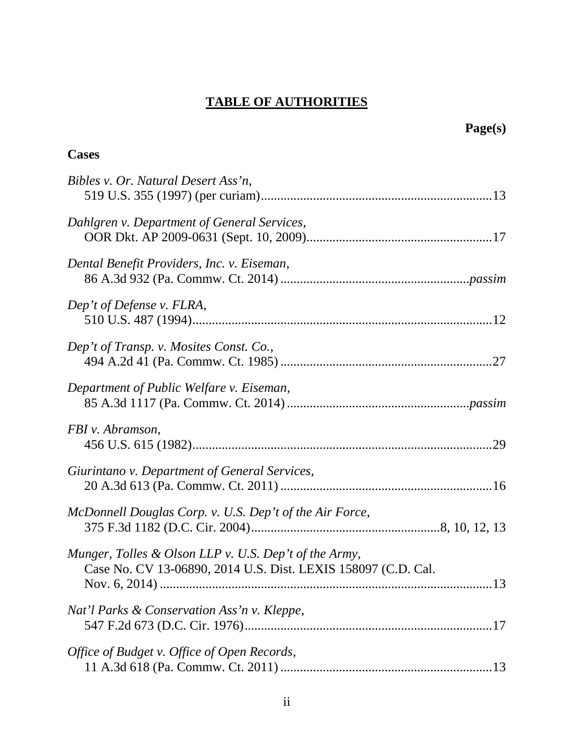# **TABLE OF AUTHORITIES**

**Page(s)**

| <b>Cases</b>                                                                                                           |
|------------------------------------------------------------------------------------------------------------------------|
| Bibles v. Or. Natural Desert Ass'n,                                                                                    |
| Dahlgren v. Department of General Services,                                                                            |
| Dental Benefit Providers, Inc. v. Eiseman,                                                                             |
| Dep't of Defense v. FLRA,                                                                                              |
| Dep't of Transp. v. Mosites Const. Co.,                                                                                |
| Department of Public Welfare v. Eiseman,                                                                               |
| FBI v. Abramson,                                                                                                       |
| Giurintano v. Department of General Services,                                                                          |
| McDonnell Douglas Corp. v. U.S. Dep't of the Air Force,                                                                |
| Munger, Tolles & Olson LLP v. U.S. Dep't of the Army,<br>Case No. CV 13-06890, 2014 U.S. Dist. LEXIS 158097 (C.D. Cal. |
| Nat'l Parks & Conservation Ass'n v. Kleppe,                                                                            |
| Office of Budget v. Office of Open Records,                                                                            |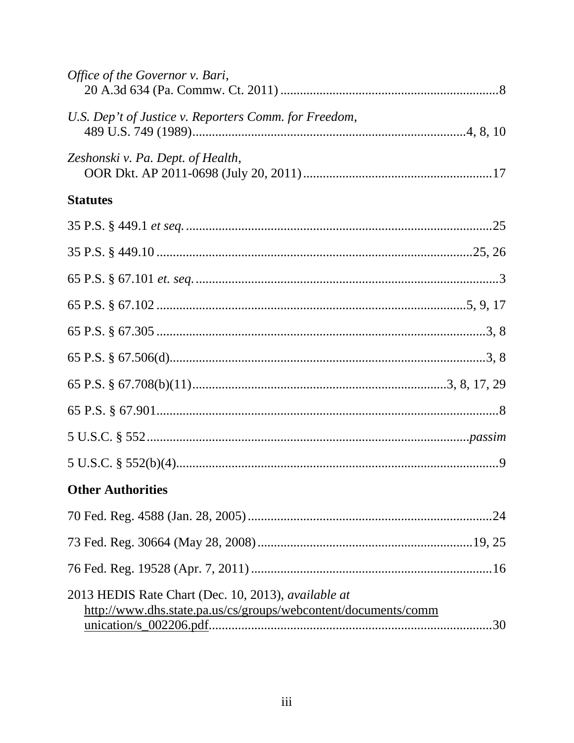| Office of the Governor v. Bari,                                                                                       |
|-----------------------------------------------------------------------------------------------------------------------|
| U.S. Dep't of Justice v. Reporters Comm. for Freedom,                                                                 |
| Zeshonski v. Pa. Dept. of Health,                                                                                     |
| <b>Statutes</b>                                                                                                       |
|                                                                                                                       |
|                                                                                                                       |
|                                                                                                                       |
|                                                                                                                       |
|                                                                                                                       |
|                                                                                                                       |
|                                                                                                                       |
|                                                                                                                       |
|                                                                                                                       |
|                                                                                                                       |
| <b>Other Authorities</b>                                                                                              |
|                                                                                                                       |
|                                                                                                                       |
|                                                                                                                       |
| 2013 HEDIS Rate Chart (Dec. 10, 2013), available at<br>http://www.dhs.state.pa.us/cs/groups/webcontent/documents/comm |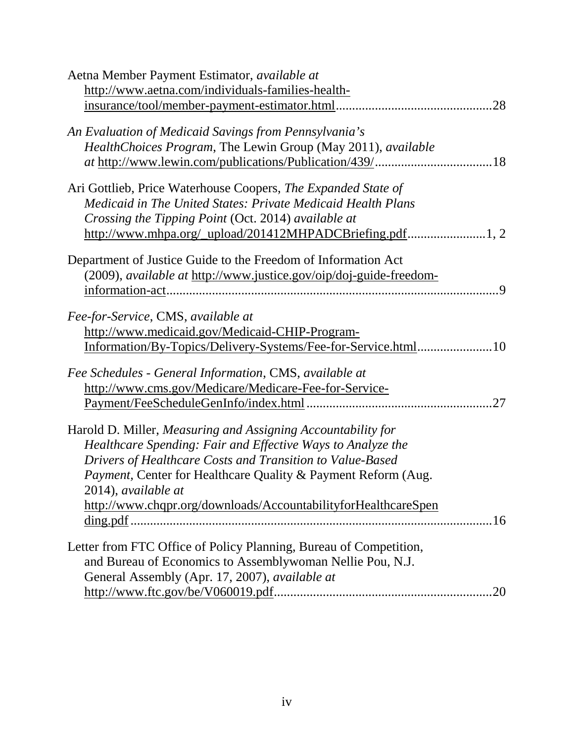| Aetna Member Payment Estimator, <i>available at</i>                      |
|--------------------------------------------------------------------------|
| http://www.aetna.com/individuals-families-health-                        |
| insurance/tool/member-payment-estimator.html                             |
|                                                                          |
| An Evaluation of Medicaid Savings from Pennsylvania's                    |
| HealthChoices Program, The Lewin Group (May 2011), available             |
|                                                                          |
|                                                                          |
| Ari Gottlieb, Price Waterhouse Coopers, The Expanded State of            |
| Medicaid in The United States: Private Medicaid Health Plans             |
| Crossing the Tipping Point (Oct. 2014) available at                      |
|                                                                          |
|                                                                          |
| Department of Justice Guide to the Freedom of Information Act            |
| (2009), available at http://www.justice.gov/oip/doj-guide-freedom-       |
| 9.                                                                       |
|                                                                          |
| Fee-for-Service, CMS, available at                                       |
| http://www.medicaid.gov/Medicaid-CHIP-Program-                           |
|                                                                          |
| Fee Schedules - General Information, CMS, available at                   |
|                                                                          |
| http://www.cms.gov/Medicare/Medicare-Fee-for-Service-                    |
| .27                                                                      |
| Harold D. Miller, Measuring and Assigning Accountability for             |
| Healthcare Spending: Fair and Effective Ways to Analyze the              |
| Drivers of Healthcare Costs and Transition to Value-Based                |
| <i>Payment, Center for Healthcare Quality &amp; Payment Reform (Aug.</i> |
| 2014), available at                                                      |
| http://www.chqpr.org/downloads/AccountabilityforHealthcareSpen           |
|                                                                          |
|                                                                          |
| Letter from FTC Office of Policy Planning, Bureau of Competition,        |
| and Bureau of Economics to Assemblywoman Nellie Pou, N.J.                |
| General Assembly (Apr. 17, 2007), available at                           |
| .20                                                                      |
|                                                                          |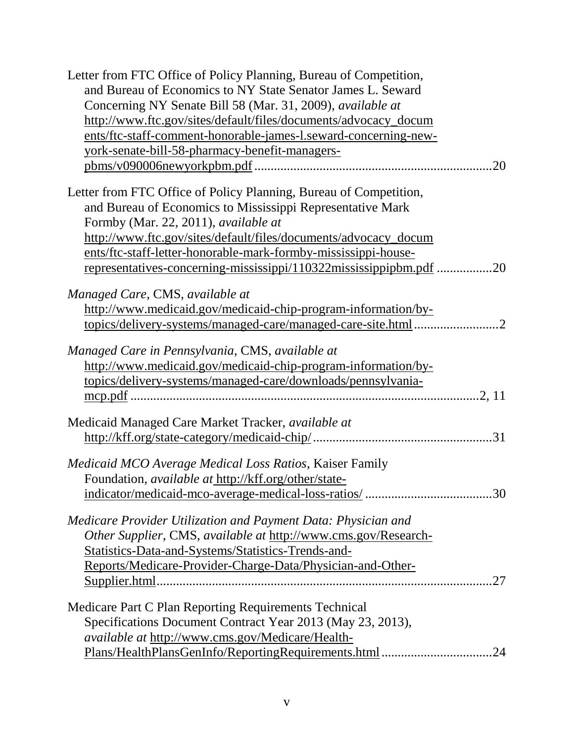| Letter from FTC Office of Policy Planning, Bureau of Competition,  |
|--------------------------------------------------------------------|
| and Bureau of Economics to NY State Senator James L. Seward        |
| Concerning NY Senate Bill 58 (Mar. 31, 2009), available at         |
| http://www.ftc.gov/sites/default/files/documents/advocacy_docum    |
| ents/ftc-staff-comment-honorable-james-l.seward-concerning-new-    |
| vork-senate-bill-58-pharmacy-benefit-managers-                     |
|                                                                    |
|                                                                    |
| Letter from FTC Office of Policy Planning, Bureau of Competition,  |
| and Bureau of Economics to Mississippi Representative Mark         |
| Formby (Mar. 22, 2011), available at                               |
| http://www.ftc.gov/sites/default/files/documents/advocacy_docum    |
| ents/ftc-staff-letter-honorable-mark-formby-mississippi-house-     |
| representatives-concerning-mississippi/110322mississippipbm.pdf 20 |
| Managed Care, CMS, available at                                    |
| http://www.medicaid.gov/medicaid-chip-program-information/by-      |
|                                                                    |
|                                                                    |
| Managed Care in Pennsylvania, CMS, available at                    |
| http://www.medicaid.gov/medicaid-chip-program-information/by-      |
| topics/delivery-systems/managed-care/downloads/pennsylvania-       |
|                                                                    |
|                                                                    |
| Medicaid Managed Care Market Tracker, available at                 |
|                                                                    |
| Medicaid MCO Average Medical Loss Ratios, Kaiser Family            |
| Foundation, <i>available at</i> http://kff.org/other/state-        |
|                                                                    |
|                                                                    |
| Medicare Provider Utilization and Payment Data: Physician and      |
| Other Supplier, CMS, available at http://www.cms.gov/Research-     |
| Statistics-Data-and-Systems/Statistics-Trends-and-                 |
| Reports/Medicare-Provider-Charge-Data/Physician-and-Other-         |
|                                                                    |
|                                                                    |
| Medicare Part C Plan Reporting Requirements Technical              |
| Specifications Document Contract Year 2013 (May 23, 2013),         |
| available at http://www.cms.gov/Medicare/Health-                   |
| Plans/HealthPlansGenInfo/ReportingRequirements.html<br>24          |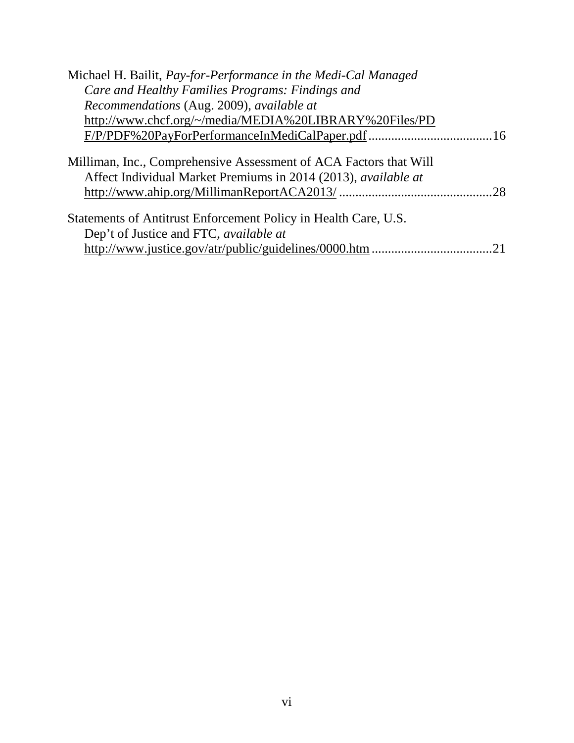| Michael H. Bailit, Pay-for-Performance in the Medi-Cal Managed                                                                      |  |
|-------------------------------------------------------------------------------------------------------------------------------------|--|
| Care and Healthy Families Programs: Findings and                                                                                    |  |
| Recommendations (Aug. 2009), available at                                                                                           |  |
| http://www.chcf.org/~/media/MEDIA%20LIBRARY%20Files/PD                                                                              |  |
|                                                                                                                                     |  |
| Milliman, Inc., Comprehensive Assessment of ACA Factors that Will<br>Affect Individual Market Premiums in 2014 (2013), available at |  |
| Statements of Antitrust Enforcement Policy in Health Care, U.S.                                                                     |  |
| Dep't of Justice and FTC, <i>available at</i>                                                                                       |  |
|                                                                                                                                     |  |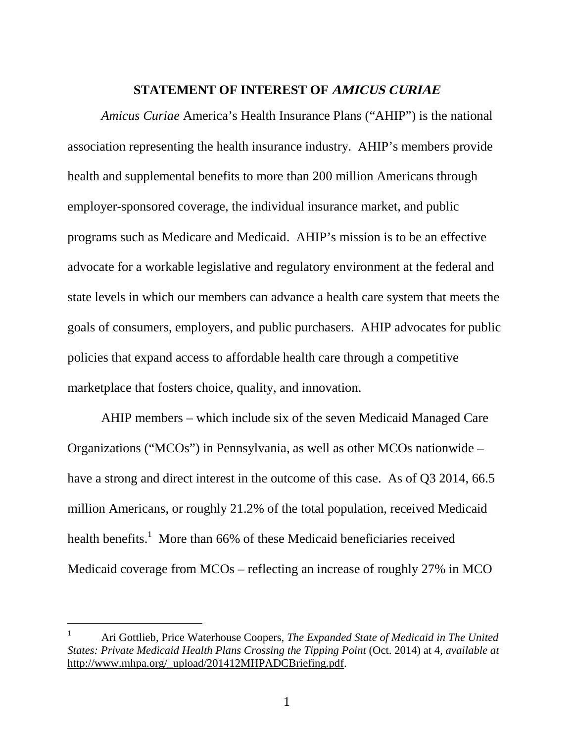#### **STATEMENT OF INTEREST OF AMICUS CURIAE**

*Amicus Curiae* America's Health Insurance Plans ("AHIP") is the national association representing the health insurance industry. AHIP's members provide health and supplemental benefits to more than 200 million Americans through employer-sponsored coverage, the individual insurance market, and public programs such as Medicare and Medicaid. AHIP's mission is to be an effective advocate for a workable legislative and regulatory environment at the federal and state levels in which our members can advance a health care system that meets the goals of consumers, employers, and public purchasers. AHIP advocates for public policies that expand access to affordable health care through a competitive marketplace that fosters choice, quality, and innovation.

AHIP members – which include six of the seven Medicaid Managed Care Organizations ("MCOs") in Pennsylvania, as well as other MCOs nationwide – have a strong and direct interest in the outcome of this case. As of Q3 2014, 66.5 million Americans, or roughly 21.2% of the total population, received Medicaid health benefits.<sup>1</sup> More than 66% of these Medicaid beneficiaries received Medicaid coverage from MCOs – reflecting an increase of roughly 27% in MCO

<sup>1</sup> Ari Gottlieb, Price Waterhouse Coopers, *The Expanded State of Medicaid in The United States: Private Medicaid Health Plans Crossing the Tipping Point* (Oct. 2014) at 4, *available at* http://www.mhpa.org/\_upload/201412MHPADCBriefing.pdf.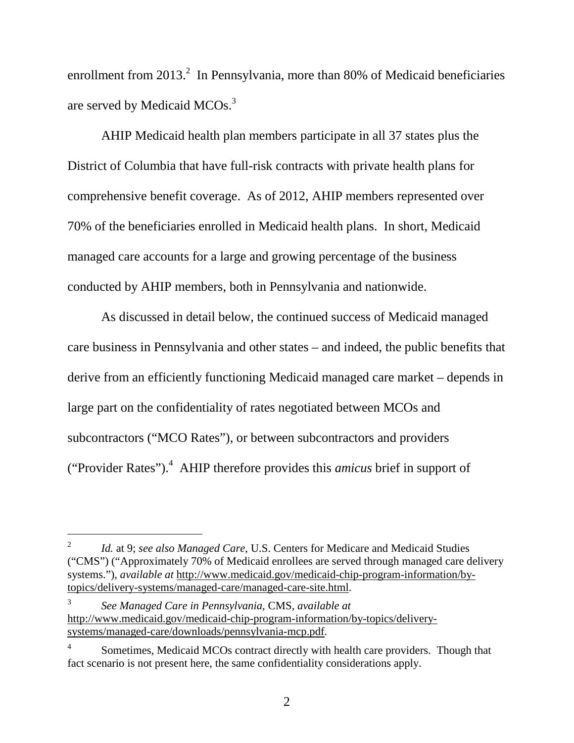enrollment from 2013.<sup>2</sup> In Pennsylvania, more than 80% of Medicaid beneficiaries are served by Medicaid MCOs.<sup>3</sup>

AHIP Medicaid health plan members participate in all 37 states plus the District of Columbia that have full-risk contracts with private health plans for comprehensive benefit coverage. As of 2012, AHIP members represented over 70% of the beneficiaries enrolled in Medicaid health plans. In short, Medicaid managed care accounts for a large and growing percentage of the business conducted by AHIP members, both in Pennsylvania and nationwide.

As discussed in detail below, the continued success of Medicaid managed care business in Pennsylvania and other states – and indeed, the public benefits that derive from an efficiently functioning Medicaid managed care market – depends in large part on the confidentiality of rates negotiated between MCOs and subcontractors ("MCO Rates"), or between subcontractors and providers ("Provider Rates").<sup>4</sup> AHIP therefore provides this *amicus* brief in support of

<sup>2</sup> *Id.* at 9; *see also Managed Care*, U.S. Centers for Medicare and Medicaid Studies ("CMS") ("Approximately 70% of Medicaid enrollees are served through managed care delivery systems."), *available at* http://www.medicaid.gov/medicaid-chip-program-information/bytopics/delivery-systems/managed-care/managed-care-site.html.

<sup>3</sup> *See Managed Care in Pennsylvania*, CMS, *available at* http://www.medicaid.gov/medicaid-chip-program-information/by-topics/deliverysystems/managed-care/downloads/pennsylvania-mcp.pdf.

<sup>4</sup> Sometimes, Medicaid MCOs contract directly with health care providers. Though that fact scenario is not present here, the same confidentiality considerations apply.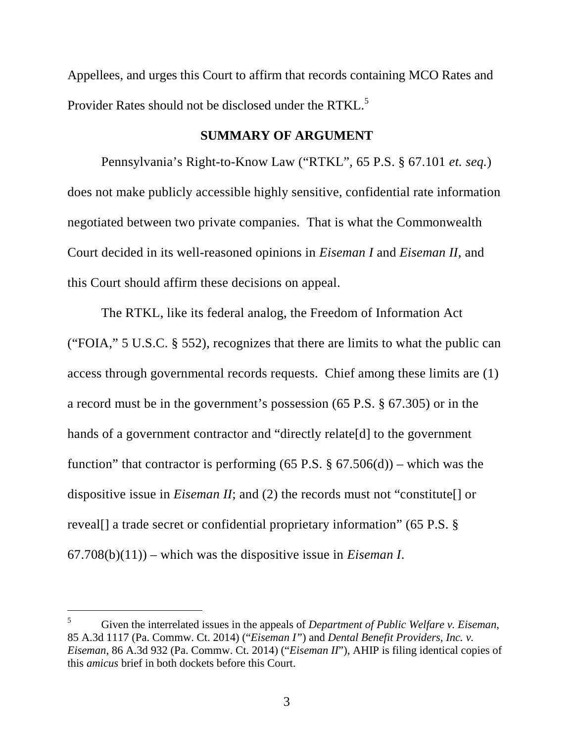Appellees, and urges this Court to affirm that records containing MCO Rates and Provider Rates should not be disclosed under the RTKL.<sup>5</sup>

### **SUMMARY OF ARGUMENT**

Pennsylvania's Right-to-Know Law ("RTKL", 65 P.S. § 67.101 *et. seq.*) does not make publicly accessible highly sensitive, confidential rate information negotiated between two private companies. That is what the Commonwealth Court decided in its well-reasoned opinions in *Eiseman I* and *Eiseman II*, and this Court should affirm these decisions on appeal.

The RTKL, like its federal analog, the Freedom of Information Act ("FOIA," 5 U.S.C. § 552), recognizes that there are limits to what the public can access through governmental records requests. Chief among these limits are (1) a record must be in the government's possession (65 P.S. § 67.305) or in the hands of a government contractor and "directly relate[d] to the government function" that contractor is performing  $(65 \text{ P.S.} \text{ } \text{\$ } 67.506(d))$  – which was the dispositive issue in *Eiseman II*; and (2) the records must not "constitute[] or reveal[] a trade secret or confidential proprietary information" (65 P.S. § 67.708(b)(11)) – which was the dispositive issue in *Eiseman I*.

<sup>5</sup> Given the interrelated issues in the appeals of *Department of Public Welfare v. Eiseman*, 85 A.3d 1117 (Pa. Commw. Ct. 2014) ("*Eiseman I"*) and *Dental Benefit Providers, Inc. v. Eiseman*, 86 A.3d 932 (Pa. Commw. Ct. 2014) ("*Eiseman II*"), AHIP is filing identical copies of this *amicus* brief in both dockets before this Court.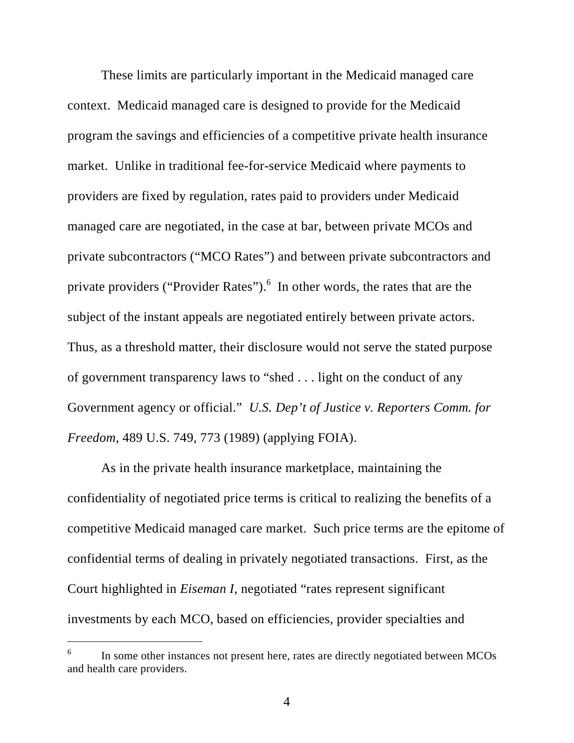These limits are particularly important in the Medicaid managed care context. Medicaid managed care is designed to provide for the Medicaid program the savings and efficiencies of a competitive private health insurance market. Unlike in traditional fee-for-service Medicaid where payments to providers are fixed by regulation, rates paid to providers under Medicaid managed care are negotiated, in the case at bar, between private MCOs and private subcontractors ("MCO Rates") and between private subcontractors and private providers ("Provider Rates").<sup>6</sup> In other words, the rates that are the subject of the instant appeals are negotiated entirely between private actors. Thus, as a threshold matter, their disclosure would not serve the stated purpose of government transparency laws to "shed . . . light on the conduct of any Government agency or official." *U.S. Dep't of Justice v. Reporters Comm. for Freedom*, 489 U.S. 749, 773 (1989) (applying FOIA).

As in the private health insurance marketplace, maintaining the confidentiality of negotiated price terms is critical to realizing the benefits of a competitive Medicaid managed care market. Such price terms are the epitome of confidential terms of dealing in privately negotiated transactions. First, as the Court highlighted in *Eiseman I*, negotiated "rates represent significant investments by each MCO, based on efficiencies, provider specialties and

<sup>6</sup> In some other instances not present here, rates are directly negotiated between MCOs and health care providers.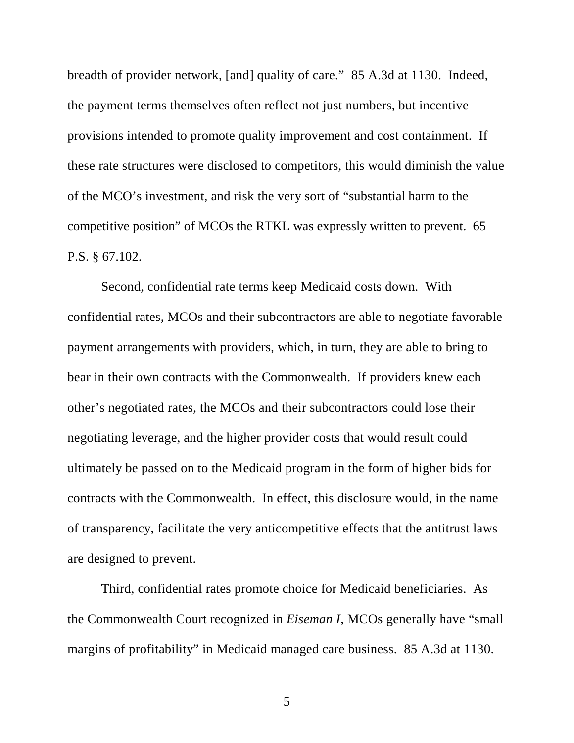breadth of provider network, [and] quality of care." 85 A.3d at 1130. Indeed, the payment terms themselves often reflect not just numbers, but incentive provisions intended to promote quality improvement and cost containment. If these rate structures were disclosed to competitors, this would diminish the value of the MCO's investment, and risk the very sort of "substantial harm to the competitive position" of MCOs the RTKL was expressly written to prevent. 65 P.S. § 67.102.

Second, confidential rate terms keep Medicaid costs down. With confidential rates, MCOs and their subcontractors are able to negotiate favorable payment arrangements with providers, which, in turn, they are able to bring to bear in their own contracts with the Commonwealth. If providers knew each other's negotiated rates, the MCOs and their subcontractors could lose their negotiating leverage, and the higher provider costs that would result could ultimately be passed on to the Medicaid program in the form of higher bids for contracts with the Commonwealth. In effect, this disclosure would, in the name of transparency, facilitate the very anticompetitive effects that the antitrust laws are designed to prevent.

Third, confidential rates promote choice for Medicaid beneficiaries. As the Commonwealth Court recognized in *Eiseman I*, MCOs generally have "small margins of profitability" in Medicaid managed care business. 85 A.3d at 1130.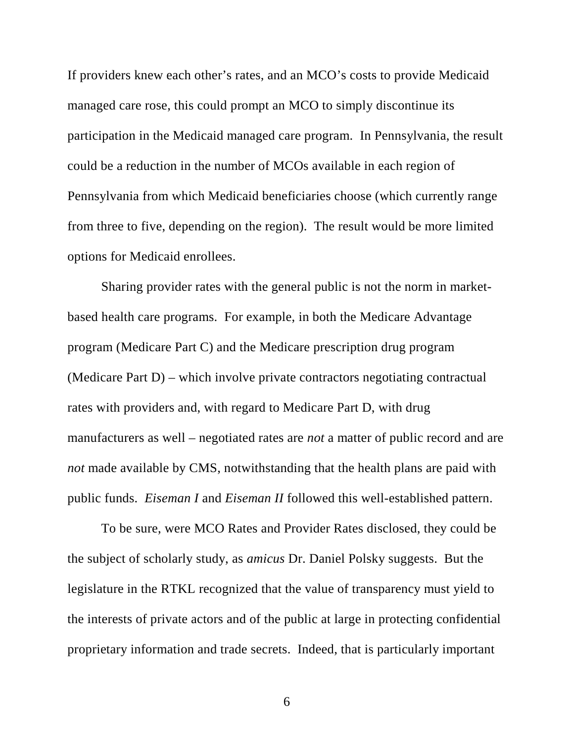If providers knew each other's rates, and an MCO's costs to provide Medicaid managed care rose, this could prompt an MCO to simply discontinue its participation in the Medicaid managed care program. In Pennsylvania, the result could be a reduction in the number of MCOs available in each region of Pennsylvania from which Medicaid beneficiaries choose (which currently range from three to five, depending on the region). The result would be more limited options for Medicaid enrollees.

Sharing provider rates with the general public is not the norm in marketbased health care programs. For example, in both the Medicare Advantage program (Medicare Part C) and the Medicare prescription drug program (Medicare Part D) – which involve private contractors negotiating contractual rates with providers and, with regard to Medicare Part D, with drug manufacturers as well – negotiated rates are *not* a matter of public record and are *not* made available by CMS, notwithstanding that the health plans are paid with public funds. *Eiseman I* and *Eiseman II* followed this well-established pattern.

To be sure, were MCO Rates and Provider Rates disclosed, they could be the subject of scholarly study, as *amicus* Dr. Daniel Polsky suggests. But the legislature in the RTKL recognized that the value of transparency must yield to the interests of private actors and of the public at large in protecting confidential proprietary information and trade secrets. Indeed, that is particularly important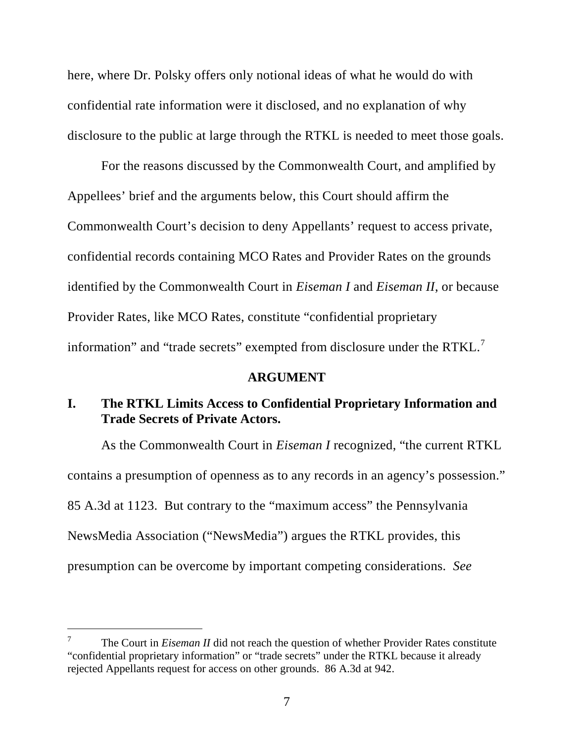here, where Dr. Polsky offers only notional ideas of what he would do with confidential rate information were it disclosed, and no explanation of why disclosure to the public at large through the RTKL is needed to meet those goals.

For the reasons discussed by the Commonwealth Court, and amplified by Appellees' brief and the arguments below, this Court should affirm the Commonwealth Court's decision to deny Appellants' request to access private, confidential records containing MCO Rates and Provider Rates on the grounds identified by the Commonwealth Court in *Eiseman I* and *Eiseman II*, or because Provider Rates, like MCO Rates, constitute "confidential proprietary information" and "trade secrets" exempted from disclosure under the RTKL.<sup>7</sup>

#### **ARGUMENT**

## **I. The RTKL Limits Access to Confidential Proprietary Information and Trade Secrets of Private Actors.**

As the Commonwealth Court in *Eiseman I* recognized, "the current RTKL contains a presumption of openness as to any records in an agency's possession." 85 A.3d at 1123. But contrary to the "maximum access" the Pennsylvania NewsMedia Association ("NewsMedia") argues the RTKL provides, this presumption can be overcome by important competing considerations. *See*

<sup>7</sup> The Court in *Eiseman II* did not reach the question of whether Provider Rates constitute "confidential proprietary information" or "trade secrets" under the RTKL because it already rejected Appellants request for access on other grounds. 86 A.3d at 942.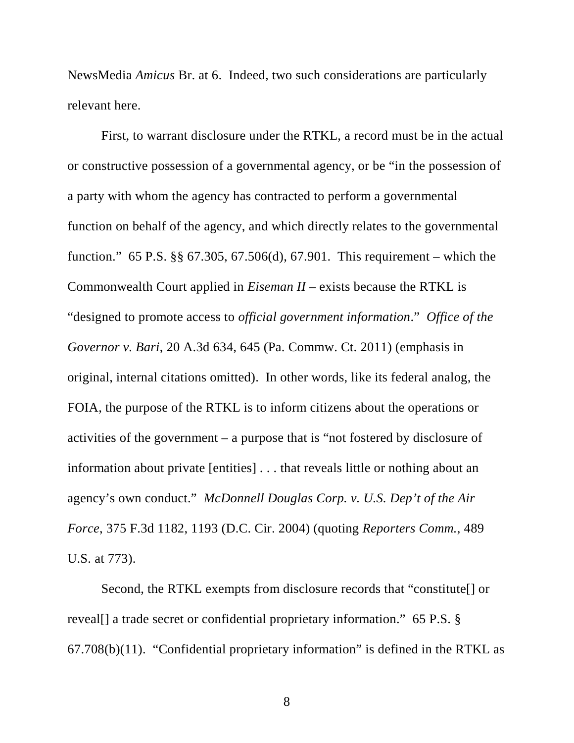NewsMedia *Amicus* Br. at 6. Indeed, two such considerations are particularly relevant here.

First, to warrant disclosure under the RTKL, a record must be in the actual or constructive possession of a governmental agency, or be "in the possession of a party with whom the agency has contracted to perform a governmental function on behalf of the agency, and which directly relates to the governmental function." 65 P.S. §§ 67.305, 67.506(d), 67.901. This requirement – which the Commonwealth Court applied in *Eiseman II* – exists because the RTKL is "designed to promote access to *official government information*." *Office of the Governor v. Bari*, 20 A.3d 634, 645 (Pa. Commw. Ct. 2011) (emphasis in original, internal citations omitted). In other words, like its federal analog, the FOIA, the purpose of the RTKL is to inform citizens about the operations or activities of the government – a purpose that is "not fostered by disclosure of information about private [entities] . . . that reveals little or nothing about an agency's own conduct." *McDonnell Douglas Corp. v. U.S. Dep't of the Air Force*, 375 F.3d 1182, 1193 (D.C. Cir. 2004) (quoting *Reporters Comm.*, 489 U.S. at 773).

Second, the RTKL exempts from disclosure records that "constitute[] or reveal[] a trade secret or confidential proprietary information." 65 P.S. § 67.708(b)(11). "Confidential proprietary information" is defined in the RTKL as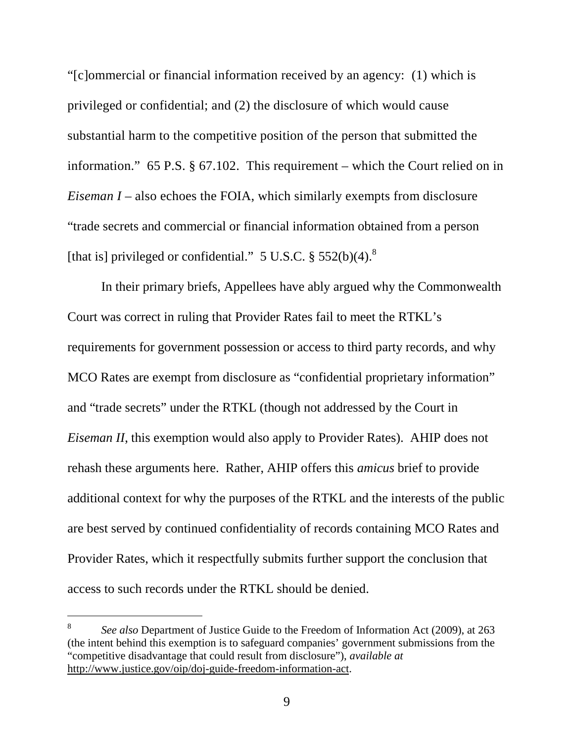"[c]ommercial or financial information received by an agency: (1) which is privileged or confidential; and (2) the disclosure of which would cause substantial harm to the competitive position of the person that submitted the information." 65 P.S. § 67.102. This requirement – which the Court relied on in *Eiseman I* – also echoes the FOIA, which similarly exempts from disclosure "trade secrets and commercial or financial information obtained from a person [that is] privileged or confidential."  $5 \text{ U.S.C.}$   $\S 552(b)(4)$ .<sup>8</sup>

In their primary briefs, Appellees have ably argued why the Commonwealth Court was correct in ruling that Provider Rates fail to meet the RTKL's requirements for government possession or access to third party records, and why MCO Rates are exempt from disclosure as "confidential proprietary information" and "trade secrets" under the RTKL (though not addressed by the Court in *Eiseman II*, this exemption would also apply to Provider Rates). AHIP does not rehash these arguments here. Rather, AHIP offers this *amicus* brief to provide additional context for why the purposes of the RTKL and the interests of the public are best served by continued confidentiality of records containing MCO Rates and Provider Rates, which it respectfully submits further support the conclusion that access to such records under the RTKL should be denied.

<sup>8</sup> *See also* Department of Justice Guide to the Freedom of Information Act (2009), at 263 (the intent behind this exemption is to safeguard companies' government submissions from the "competitive disadvantage that could result from disclosure"), *available at* http://www.justice.gov/oip/doj-guide-freedom-information-act.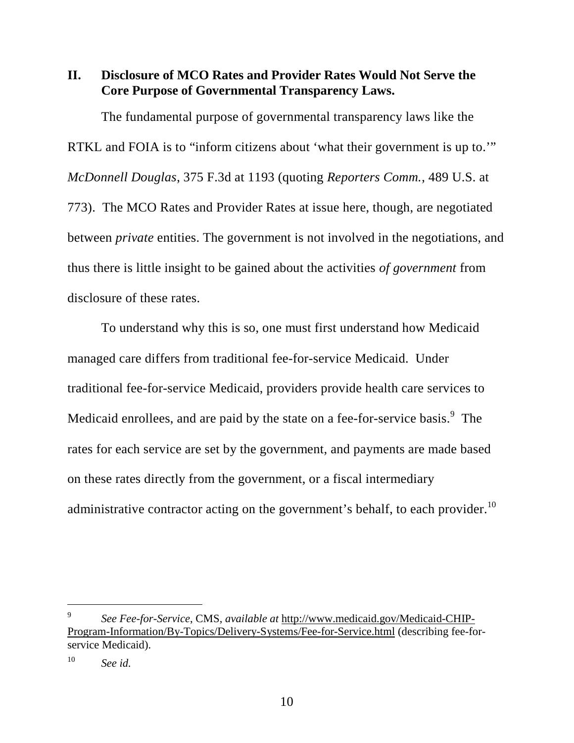**II. Disclosure of MCO Rates and Provider Rates Would Not Serve the Core Purpose of Governmental Transparency Laws.**

The fundamental purpose of governmental transparency laws like the RTKL and FOIA is to "inform citizens about 'what their government is up to." *McDonnell Douglas*, 375 F.3d at 1193 (quoting *Reporters Comm.*, 489 U.S. at 773). The MCO Rates and Provider Rates at issue here, though, are negotiated between *private* entities. The government is not involved in the negotiations, and thus there is little insight to be gained about the activities *of government* from disclosure of these rates.

To understand why this is so, one must first understand how Medicaid managed care differs from traditional fee-for-service Medicaid. Under traditional fee-for-service Medicaid, providers provide health care services to Medicaid enrollees, and are paid by the state on a fee-for-service basis.<sup>9</sup> The rates for each service are set by the government, and payments are made based on these rates directly from the government, or a fiscal intermediary administrative contractor acting on the government's behalf, to each provider.<sup>10</sup>

<sup>9</sup> *See Fee-for-Service*, CMS, *available at* http://www.medicaid.gov/Medicaid-CHIP-Program-Information/By-Topics/Delivery-Systems/Fee-for-Service.html (describing fee-forservice Medicaid).

<sup>10</sup> *See id.*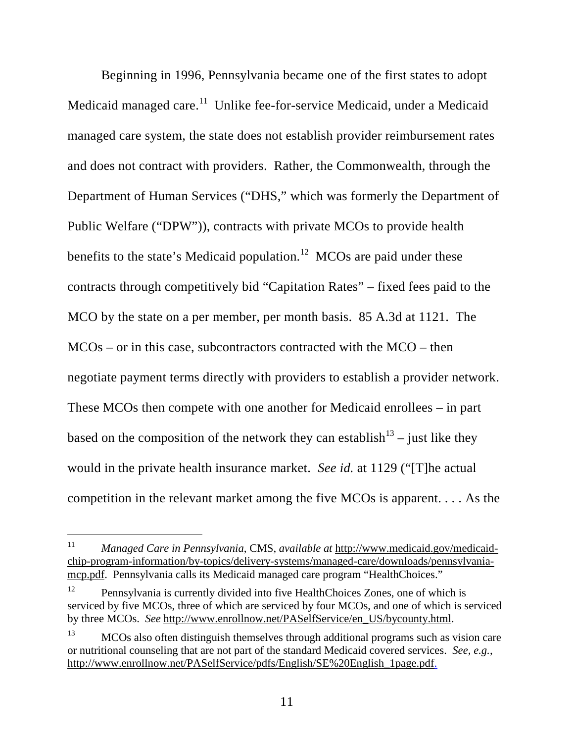Beginning in 1996, Pennsylvania became one of the first states to adopt Medicaid managed care.<sup>11</sup> Unlike fee-for-service Medicaid, under a Medicaid managed care system, the state does not establish provider reimbursement rates and does not contract with providers. Rather, the Commonwealth, through the Department of Human Services ("DHS," which was formerly the Department of Public Welfare ("DPW")), contracts with private MCOs to provide health benefits to the state's Medicaid population.<sup>12</sup> MCOs are paid under these contracts through competitively bid "Capitation Rates" – fixed fees paid to the MCO by the state on a per member, per month basis. 85 A.3d at 1121. The MCOs – or in this case, subcontractors contracted with the MCO – then negotiate payment terms directly with providers to establish a provider network. These MCOs then compete with one another for Medicaid enrollees – in part based on the composition of the network they can establish<sup>13</sup> – just like they would in the private health insurance market. *See id.* at 1129 ("[T]he actual competition in the relevant market among the five MCOs is apparent. . . . As the

<sup>11</sup> *Managed Care in Pennsylvania*, CMS, *available at* http://www.medicaid.gov/medicaidchip-program-information/by-topics/delivery-systems/managed-care/downloads/pennsylvaniamcp.pdf. Pennsylvania calls its Medicaid managed care program "HealthChoices."

Pennsylvania is currently divided into five HealthChoices Zones, one of which is serviced by five MCOs, three of which are serviced by four MCOs, and one of which is serviced by three MCOs. *See* http://www.enrollnow.net/PASelfService/en\_US/bycounty.html.

<sup>&</sup>lt;sup>13</sup> MCOs also often distinguish themselves through additional programs such as vision care or nutritional counseling that are not part of the standard Medicaid covered services. *See, e.g.*, http://www.enrollnow.net/PASelfService/pdfs/English/SE%20English\_1page.pdf.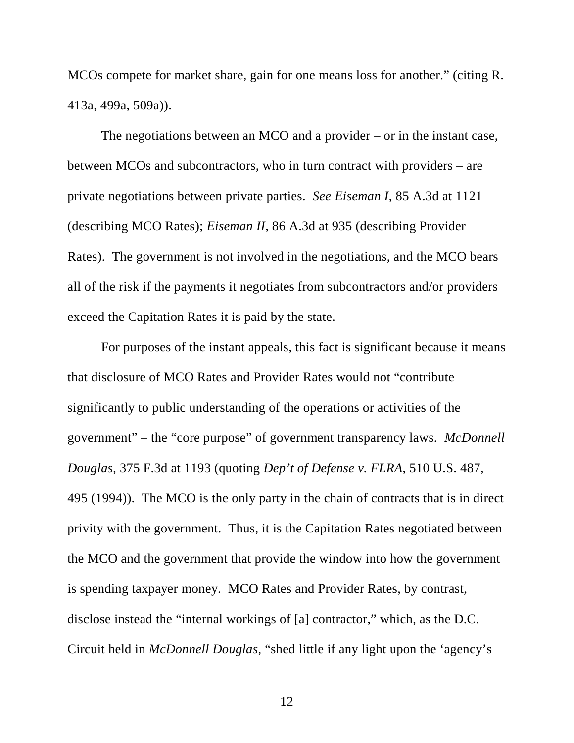MCOs compete for market share, gain for one means loss for another." (citing R. 413a, 499a, 509a)).

The negotiations between an MCO and a provider – or in the instant case, between MCOs and subcontractors, who in turn contract with providers – are private negotiations between private parties. *See Eiseman I*, 85 A.3d at 1121 (describing MCO Rates); *Eiseman II*, 86 A.3d at 935 (describing Provider Rates). The government is not involved in the negotiations, and the MCO bears all of the risk if the payments it negotiates from subcontractors and/or providers exceed the Capitation Rates it is paid by the state.

For purposes of the instant appeals, this fact is significant because it means that disclosure of MCO Rates and Provider Rates would not "contribute significantly to public understanding of the operations or activities of the government" – the "core purpose" of government transparency laws. *McDonnell Douglas*, 375 F.3d at 1193 (quoting *Dep't of Defense v. FLRA*, 510 U.S. 487, 495 (1994)). The MCO is the only party in the chain of contracts that is in direct privity with the government. Thus, it is the Capitation Rates negotiated between the MCO and the government that provide the window into how the government is spending taxpayer money. MCO Rates and Provider Rates, by contrast, disclose instead the "internal workings of [a] contractor," which, as the D.C. Circuit held in *McDonnell Douglas*, "shed little if any light upon the 'agency's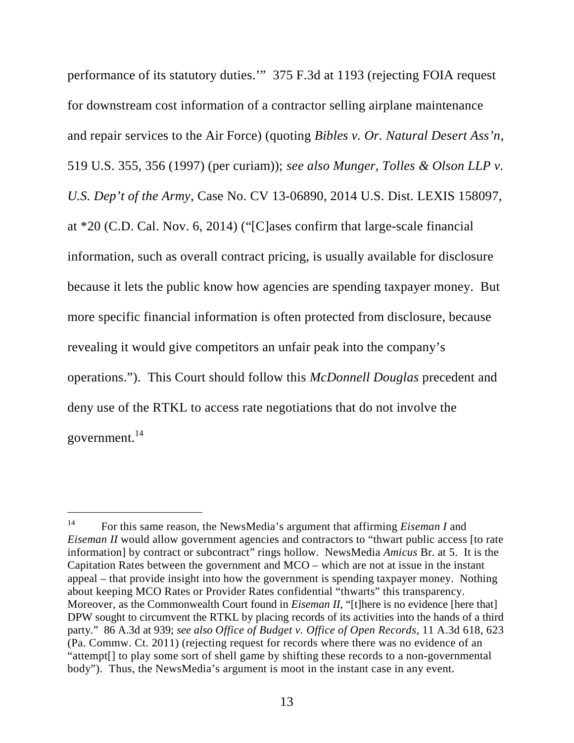performance of its statutory duties.'" 375 F.3d at 1193 (rejecting FOIA request for downstream cost information of a contractor selling airplane maintenance and repair services to the Air Force) (quoting *Bibles v. Or. Natural Desert Ass'n*, 519 U.S. 355, 356 (1997) (per curiam)); *see also Munger, Tolles & Olson LLP v. U.S. Dep't of the Army*, Case No. CV 13-06890, 2014 U.S. Dist. LEXIS 158097, at \*20 (C.D. Cal. Nov. 6, 2014) ("[C]ases confirm that large-scale financial information, such as overall contract pricing, is usually available for disclosure because it lets the public know how agencies are spending taxpayer money. But more specific financial information is often protected from disclosure, because revealing it would give competitors an unfair peak into the company's operations."). This Court should follow this *McDonnell Douglas* precedent and deny use of the RTKL to access rate negotiations that do not involve the government. $^{14}$ 

<sup>14</sup> For this same reason, the NewsMedia's argument that affirming *Eiseman I* and *Eiseman II* would allow government agencies and contractors to "thwart public access [to rate information] by contract or subcontract" rings hollow. NewsMedia *Amicus* Br. at 5. It is the Capitation Rates between the government and MCO – which are not at issue in the instant appeal – that provide insight into how the government is spending taxpayer money. Nothing about keeping MCO Rates or Provider Rates confidential "thwarts" this transparency. Moreover, as the Commonwealth Court found in *Eiseman II*, "[t]here is no evidence [here that] DPW sought to circumvent the RTKL by placing records of its activities into the hands of a third party." 86 A.3d at 939; *see also Office of Budget v. Office of Open Records*, 11 A.3d 618, 623 (Pa. Commw. Ct. 2011) (rejecting request for records where there was no evidence of an "attempt[] to play some sort of shell game by shifting these records to a non-governmental body"). Thus, the NewsMedia's argument is moot in the instant case in any event.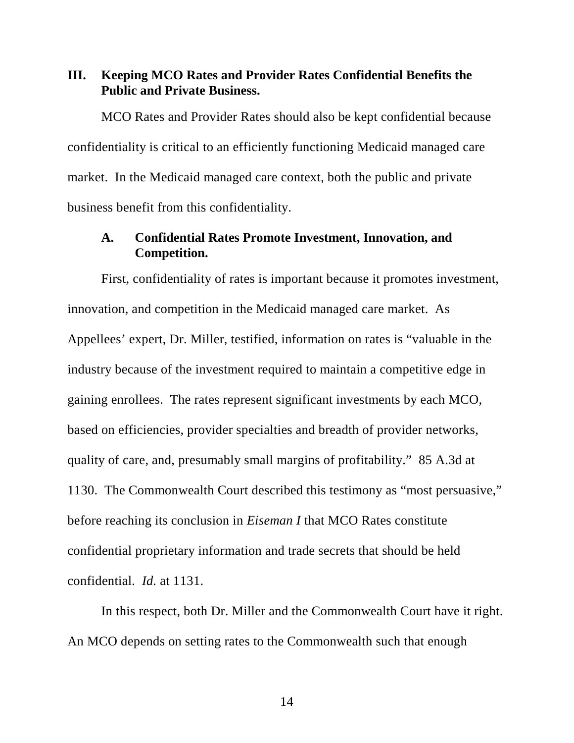**III. Keeping MCO Rates and Provider Rates Confidential Benefits the Public and Private Business.**

MCO Rates and Provider Rates should also be kept confidential because confidentiality is critical to an efficiently functioning Medicaid managed care market. In the Medicaid managed care context, both the public and private business benefit from this confidentiality.

### **A. Confidential Rates Promote Investment, Innovation, and Competition.**

First, confidentiality of rates is important because it promotes investment, innovation, and competition in the Medicaid managed care market. As Appellees' expert, Dr. Miller, testified, information on rates is "valuable in the industry because of the investment required to maintain a competitive edge in gaining enrollees. The rates represent significant investments by each MCO, based on efficiencies, provider specialties and breadth of provider networks, quality of care, and, presumably small margins of profitability." 85 A.3d at 1130. The Commonwealth Court described this testimony as "most persuasive," before reaching its conclusion in *Eiseman I* that MCO Rates constitute confidential proprietary information and trade secrets that should be held confidential. *Id.* at 1131.

In this respect, both Dr. Miller and the Commonwealth Court have it right. An MCO depends on setting rates to the Commonwealth such that enough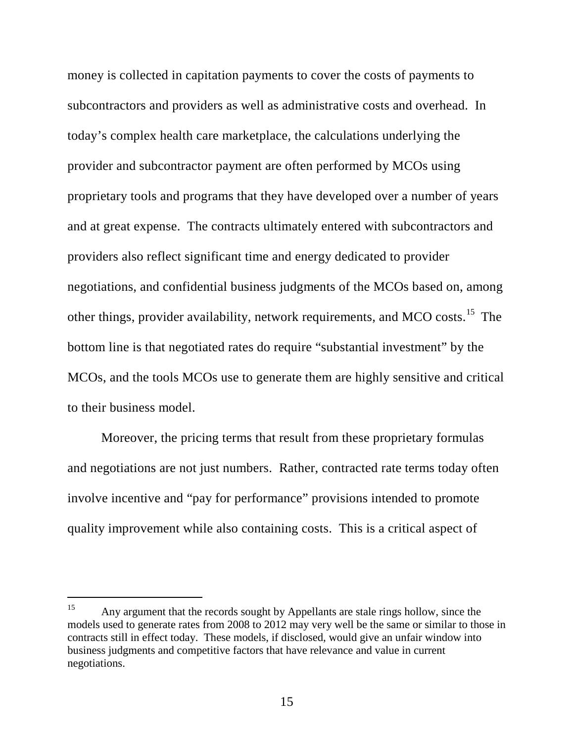money is collected in capitation payments to cover the costs of payments to subcontractors and providers as well as administrative costs and overhead. In today's complex health care marketplace, the calculations underlying the provider and subcontractor payment are often performed by MCOs using proprietary tools and programs that they have developed over a number of years and at great expense. The contracts ultimately entered with subcontractors and providers also reflect significant time and energy dedicated to provider negotiations, and confidential business judgments of the MCOs based on, among other things, provider availability, network requirements, and MCO costs.<sup>15</sup> The bottom line is that negotiated rates do require "substantial investment" by the MCOs, and the tools MCOs use to generate them are highly sensitive and critical to their business model.

Moreover, the pricing terms that result from these proprietary formulas and negotiations are not just numbers. Rather, contracted rate terms today often involve incentive and "pay for performance" provisions intended to promote quality improvement while also containing costs. This is a critical aspect of

<sup>&</sup>lt;sup>15</sup> Any argument that the records sought by Appellants are stale rings hollow, since the models used to generate rates from 2008 to 2012 may very well be the same or similar to those in contracts still in effect today. These models, if disclosed, would give an unfair window into business judgments and competitive factors that have relevance and value in current negotiations.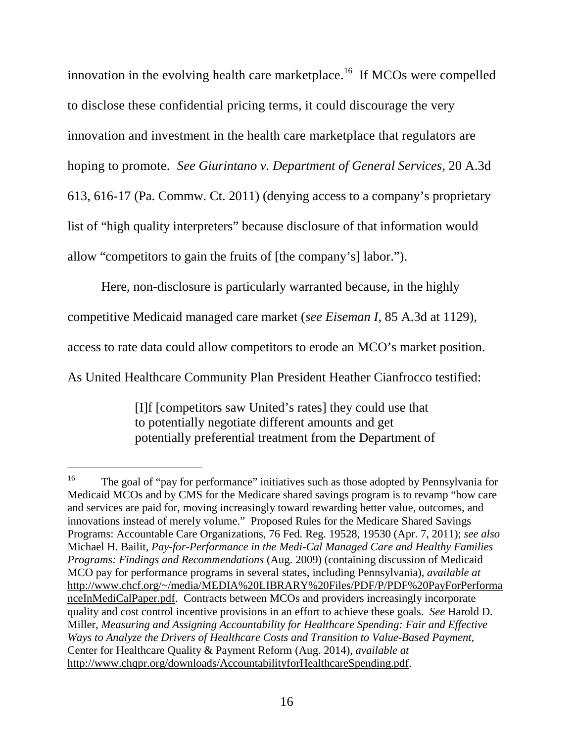innovation in the evolving health care marketplace.<sup>16</sup> If MCOs were compelled to disclose these confidential pricing terms, it could discourage the very innovation and investment in the health care marketplace that regulators are hoping to promote. *See Giurintano v. Department of General Services*, 20 A.3d 613, 616-17 (Pa. Commw. Ct. 2011) (denying access to a company's proprietary list of "high quality interpreters" because disclosure of that information would allow "competitors to gain the fruits of [the company's] labor.").

Here, non-disclosure is particularly warranted because, in the highly competitive Medicaid managed care market (*see Eiseman I*, 85 A.3d at 1129), access to rate data could allow competitors to erode an MCO's market position. As United Healthcare Community Plan President Heather Cianfrocco testified:

[I]f [competitors saw United's rates] they could use that to potentially negotiate different amounts and get potentially preferential treatment from the Department of

<sup>&</sup>lt;sup>16</sup> The goal of "pay for performance" initiatives such as those adopted by Pennsylvania for Medicaid MCOs and by CMS for the Medicare shared savings program is to revamp "how care and services are paid for, moving increasingly toward rewarding better value, outcomes, and innovations instead of merely volume." Proposed Rules for the Medicare Shared Savings Programs: Accountable Care Organizations, 76 Fed. Reg. 19528, 19530 (Apr. 7, 2011); *see also* Michael H. Bailit, *Pay-for-Performance in the Medi-Cal Managed Care and Healthy Families Programs: Findings and Recommendations* (Aug. 2009) (containing discussion of Medicaid MCO pay for performance programs in several states, including Pennsylvania), *available at* http://www.chcf.org/~/media/MEDIA%20LIBRARY%20Files/PDF/P/PDF%20PayForPerforma nceInMediCalPaper.pdf. Contracts between MCOs and providers increasingly incorporate quality and cost control incentive provisions in an effort to achieve these goals. *See* Harold D. Miller, *Measuring and Assigning Accountability for Healthcare Spending: Fair and Effective Ways to Analyze the Drivers of Healthcare Costs and Transition to Value-Based Payment,* Center for Healthcare Quality & Payment Reform (Aug. 2014), *available at* http://www.chqpr.org/downloads/AccountabilityforHealthcareSpending.pdf.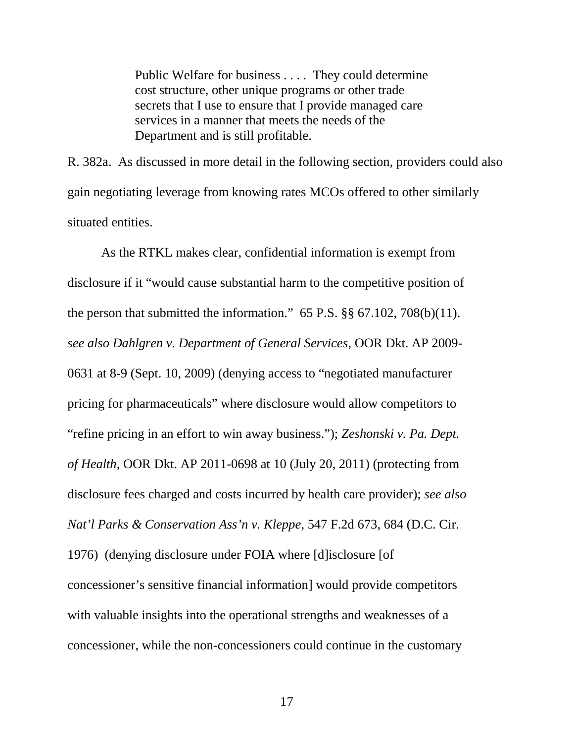Public Welfare for business . . . . They could determine cost structure, other unique programs or other trade secrets that I use to ensure that I provide managed care services in a manner that meets the needs of the Department and is still profitable.

R. 382a. As discussed in more detail in the following section, providers could also gain negotiating leverage from knowing rates MCOs offered to other similarly situated entities.

As the RTKL makes clear, confidential information is exempt from disclosure if it "would cause substantial harm to the competitive position of the person that submitted the information."  $65$  P.S.  $\S$  $\S$   $67.102$ ,  $708(b)(11)$ . *see also Dahlgren v. Department of General Services*, OOR Dkt. AP 2009- 0631 at 8-9 (Sept. 10, 2009) (denying access to "negotiated manufacturer pricing for pharmaceuticals" where disclosure would allow competitors to "refine pricing in an effort to win away business."); *Zeshonski v. Pa. Dept. of Health*, OOR Dkt. AP 2011-0698 at 10 (July 20, 2011) (protecting from disclosure fees charged and costs incurred by health care provider); *see also Nat'l Parks & Conservation Ass'n v. Kleppe*, 547 F.2d 673, 684 (D.C. Cir. 1976) (denying disclosure under FOIA where [d]isclosure [of concessioner's sensitive financial information] would provide competitors with valuable insights into the operational strengths and weaknesses of a concessioner, while the non-concessioners could continue in the customary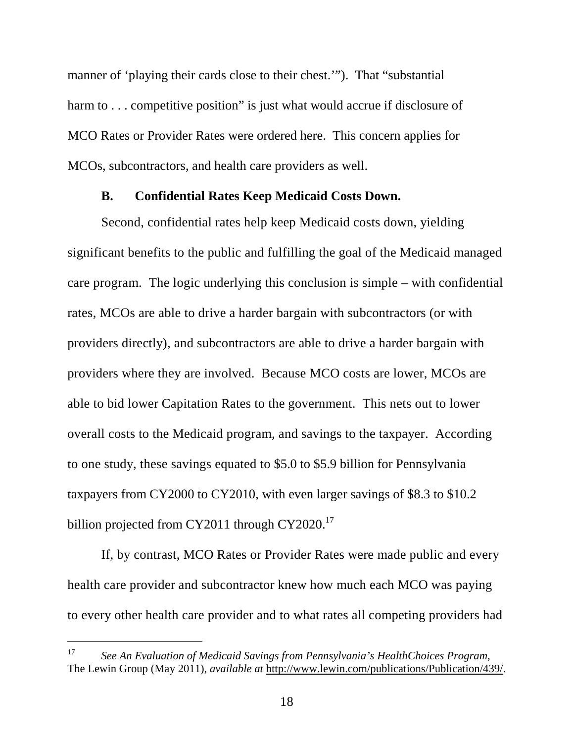manner of 'playing their cards close to their chest.'"). That "substantial harm to . . . competitive position" is just what would accrue if disclosure of MCO Rates or Provider Rates were ordered here. This concern applies for MCOs, subcontractors, and health care providers as well.

### **B. Confidential Rates Keep Medicaid Costs Down.**

Second, confidential rates help keep Medicaid costs down, yielding significant benefits to the public and fulfilling the goal of the Medicaid managed care program. The logic underlying this conclusion is simple – with confidential rates, MCOs are able to drive a harder bargain with subcontractors (or with providers directly), and subcontractors are able to drive a harder bargain with providers where they are involved. Because MCO costs are lower, MCOs are able to bid lower Capitation Rates to the government. This nets out to lower overall costs to the Medicaid program, and savings to the taxpayer. According to one study, these savings equated to \$5.0 to \$5.9 billion for Pennsylvania taxpayers from CY2000 to CY2010, with even larger savings of \$8.3 to \$10.2 billion projected from CY2011 through CY2020.<sup>17</sup>

If, by contrast, MCO Rates or Provider Rates were made public and every health care provider and subcontractor knew how much each MCO was paying to every other health care provider and to what rates all competing providers had

<sup>17</sup> *See An Evaluation of Medicaid Savings from Pennsylvania's HealthChoices Program*, The Lewin Group (May 2011), *available at* http://www.lewin.com/publications/Publication/439/.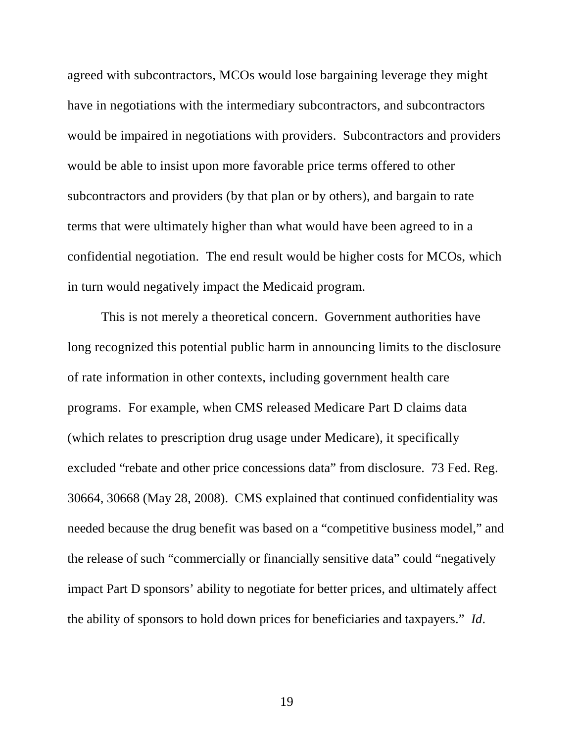agreed with subcontractors, MCOs would lose bargaining leverage they might have in negotiations with the intermediary subcontractors, and subcontractors would be impaired in negotiations with providers. Subcontractors and providers would be able to insist upon more favorable price terms offered to other subcontractors and providers (by that plan or by others), and bargain to rate terms that were ultimately higher than what would have been agreed to in a confidential negotiation. The end result would be higher costs for MCOs, which in turn would negatively impact the Medicaid program.

This is not merely a theoretical concern. Government authorities have long recognized this potential public harm in announcing limits to the disclosure of rate information in other contexts, including government health care programs. For example, when CMS released Medicare Part D claims data (which relates to prescription drug usage under Medicare), it specifically excluded "rebate and other price concessions data" from disclosure. 73 Fed. Reg. 30664, 30668 (May 28, 2008). CMS explained that continued confidentiality was needed because the drug benefit was based on a "competitive business model," and the release of such "commercially or financially sensitive data" could "negatively impact Part D sponsors' ability to negotiate for better prices, and ultimately affect the ability of sponsors to hold down prices for beneficiaries and taxpayers." *Id*.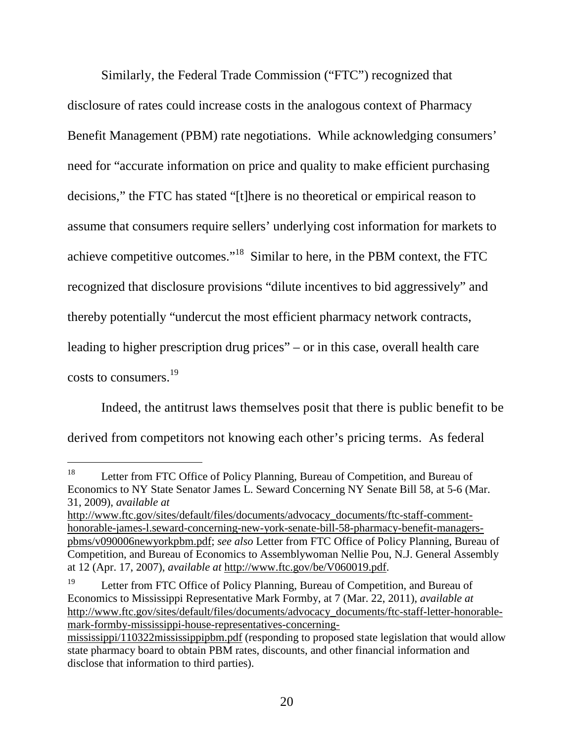Similarly, the Federal Trade Commission ("FTC") recognized that disclosure of rates could increase costs in the analogous context of Pharmacy Benefit Management (PBM) rate negotiations. While acknowledging consumers' need for "accurate information on price and quality to make efficient purchasing decisions," the FTC has stated "[t]here is no theoretical or empirical reason to assume that consumers require sellers' underlying cost information for markets to achieve competitive outcomes."<sup>18</sup> Similar to here, in the PBM context, the FTC recognized that disclosure provisions "dilute incentives to bid aggressively" and thereby potentially "undercut the most efficient pharmacy network contracts, leading to higher prescription drug prices" – or in this case, overall health care costs to consumers.<sup>19</sup>

Indeed, the antitrust laws themselves posit that there is public benefit to be derived from competitors not knowing each other's pricing terms. As federal

<sup>&</sup>lt;sup>18</sup> Letter from FTC Office of Policy Planning, Bureau of Competition, and Bureau of Economics to NY State Senator James L. Seward Concerning NY Senate Bill 58, at 5-6 (Mar. 31, 2009), *available at*

http://www.ftc.gov/sites/default/files/documents/advocacy\_documents/ftc-staff-commenthonorable-james-l.seward-concerning-new-york-senate-bill-58-pharmacy-benefit-managerspbms/v090006newyorkpbm.pdf; *see also* Letter from FTC Office of Policy Planning, Bureau of Competition, and Bureau of Economics to Assemblywoman Nellie Pou, N.J. General Assembly at 12 (Apr. 17, 2007), *available at* http://www.ftc.gov/be/V060019.pdf.

<sup>&</sup>lt;sup>19</sup> Letter from FTC Office of Policy Planning, Bureau of Competition, and Bureau of Economics to Mississippi Representative Mark Formby, at 7 (Mar. 22, 2011), *available at* http://www.ftc.gov/sites/default/files/documents/advocacy\_documents/ftc-staff-letter-honorablemark-formby-mississippi-house-representatives-concerning-

mississippi/110322mississippipbm.pdf (responding to proposed state legislation that would allow state pharmacy board to obtain PBM rates, discounts, and other financial information and disclose that information to third parties).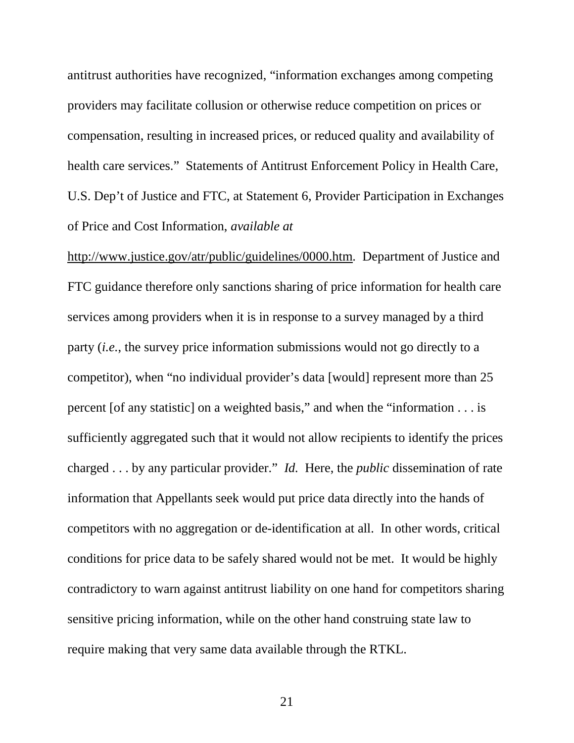antitrust authorities have recognized, "information exchanges among competing providers may facilitate collusion or otherwise reduce competition on prices or compensation, resulting in increased prices, or reduced quality and availability of health care services." Statements of Antitrust Enforcement Policy in Health Care, U.S. Dep't of Justice and FTC, at Statement 6, Provider Participation in Exchanges of Price and Cost Information, *available at*

http://www.justice.gov/atr/public/guidelines/0000.htm. Department of Justice and FTC guidance therefore only sanctions sharing of price information for health care services among providers when it is in response to a survey managed by a third party (*i.e.*, the survey price information submissions would not go directly to a competitor), when "no individual provider's data [would] represent more than 25 percent [of any statistic] on a weighted basis," and when the "information . . . is sufficiently aggregated such that it would not allow recipients to identify the prices charged . . . by any particular provider." *Id.* Here, the *public* dissemination of rate information that Appellants seek would put price data directly into the hands of competitors with no aggregation or de-identification at all. In other words, critical conditions for price data to be safely shared would not be met. It would be highly contradictory to warn against antitrust liability on one hand for competitors sharing sensitive pricing information, while on the other hand construing state law to require making that very same data available through the RTKL.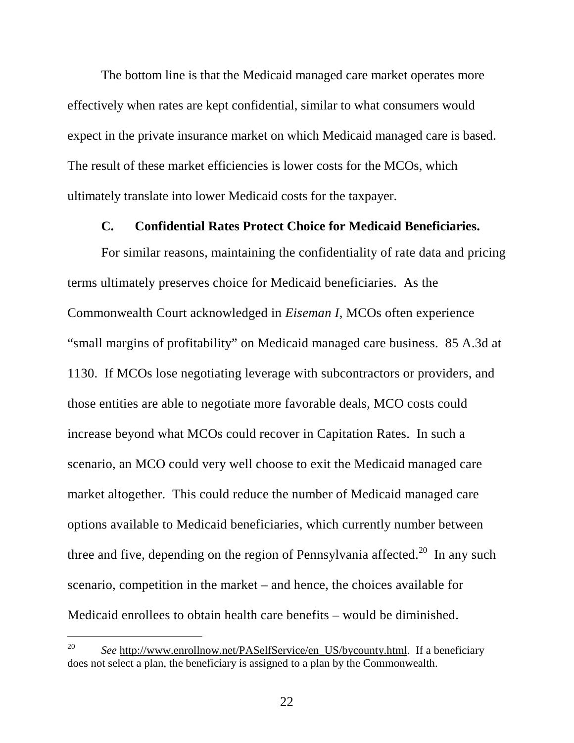The bottom line is that the Medicaid managed care market operates more effectively when rates are kept confidential, similar to what consumers would expect in the private insurance market on which Medicaid managed care is based. The result of these market efficiencies is lower costs for the MCOs, which ultimately translate into lower Medicaid costs for the taxpayer.

### **C. Confidential Rates Protect Choice for Medicaid Beneficiaries.**

For similar reasons, maintaining the confidentiality of rate data and pricing terms ultimately preserves choice for Medicaid beneficiaries. As the Commonwealth Court acknowledged in *Eiseman I*, MCOs often experience "small margins of profitability" on Medicaid managed care business. 85 A.3d at 1130. If MCOs lose negotiating leverage with subcontractors or providers, and those entities are able to negotiate more favorable deals, MCO costs could increase beyond what MCOs could recover in Capitation Rates. In such a scenario, an MCO could very well choose to exit the Medicaid managed care market altogether. This could reduce the number of Medicaid managed care options available to Medicaid beneficiaries, which currently number between three and five, depending on the region of Pennsylvania affected.<sup>20</sup> In any such scenario, competition in the market – and hence, the choices available for Medicaid enrollees to obtain health care benefits – would be diminished.

<sup>20</sup> *See* http://www.enrollnow.net/PASelfService/en\_US/bycounty.html. If a beneficiary does not select a plan, the beneficiary is assigned to a plan by the Commonwealth.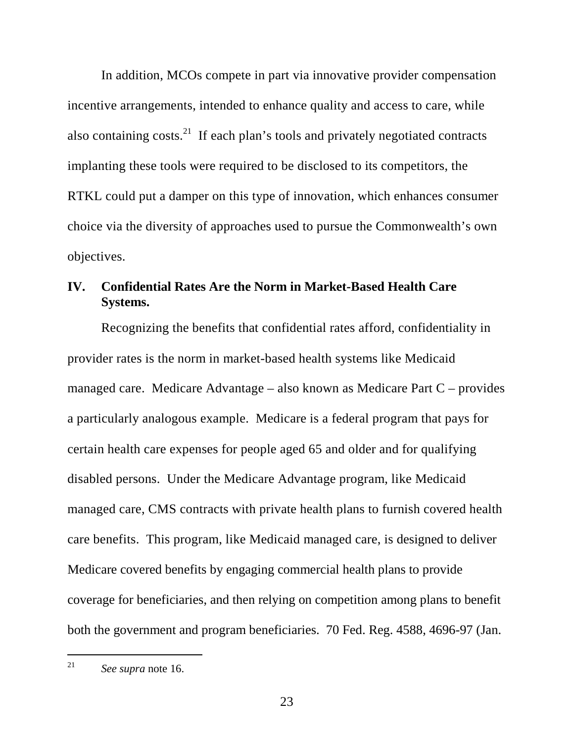In addition, MCOs compete in part via innovative provider compensation incentive arrangements, intended to enhance quality and access to care, while also containing costs.<sup>21</sup> If each plan's tools and privately negotiated contracts implanting these tools were required to be disclosed to its competitors, the RTKL could put a damper on this type of innovation, which enhances consumer choice via the diversity of approaches used to pursue the Commonwealth's own objectives.

## **IV. Confidential Rates Are the Norm in Market-Based Health Care Systems.**

Recognizing the benefits that confidential rates afford, confidentiality in provider rates is the norm in market-based health systems like Medicaid managed care. Medicare Advantage – also known as Medicare Part C – provides a particularly analogous example. Medicare is a federal program that pays for certain health care expenses for people aged 65 and older and for qualifying disabled persons. Under the Medicare Advantage program, like Medicaid managed care, CMS contracts with private health plans to furnish covered health care benefits. This program, like Medicaid managed care, is designed to deliver Medicare covered benefits by engaging commercial health plans to provide coverage for beneficiaries, and then relying on competition among plans to benefit both the government and program beneficiaries. 70 Fed. Reg. 4588, 4696-97 (Jan.

<sup>21</sup> *See supra* note 16.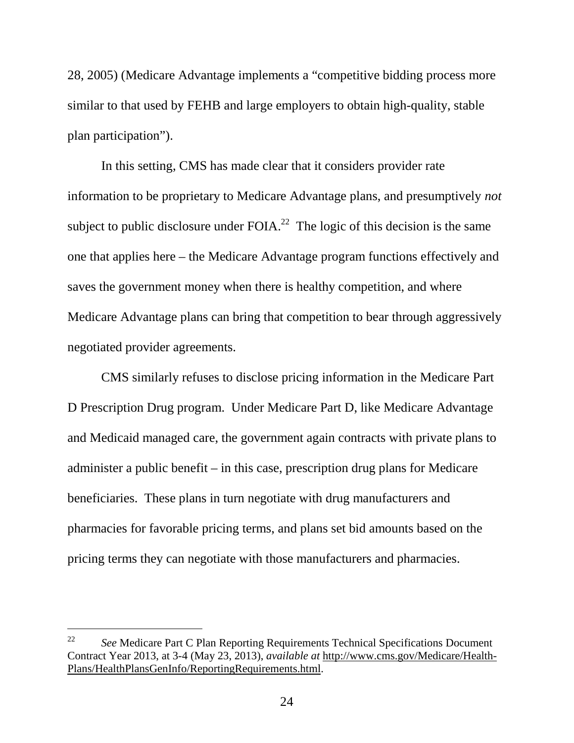28, 2005) (Medicare Advantage implements a "competitive bidding process more similar to that used by FEHB and large employers to obtain high-quality, stable plan participation").

In this setting, CMS has made clear that it considers provider rate information to be proprietary to Medicare Advantage plans, and presumptively *not* subject to public disclosure under FOIA.<sup>22</sup> The logic of this decision is the same one that applies here – the Medicare Advantage program functions effectively and saves the government money when there is healthy competition, and where Medicare Advantage plans can bring that competition to bear through aggressively negotiated provider agreements.

CMS similarly refuses to disclose pricing information in the Medicare Part D Prescription Drug program. Under Medicare Part D, like Medicare Advantage and Medicaid managed care, the government again contracts with private plans to administer a public benefit – in this case, prescription drug plans for Medicare beneficiaries. These plans in turn negotiate with drug manufacturers and pharmacies for favorable pricing terms, and plans set bid amounts based on the pricing terms they can negotiate with those manufacturers and pharmacies.

<sup>22</sup> *See* Medicare Part C Plan Reporting Requirements Technical Specifications Document Contract Year 2013, at 3-4 (May 23, 2013), *available at* http://www.cms.gov/Medicare/Health-Plans/HealthPlansGenInfo/ReportingRequirements.html.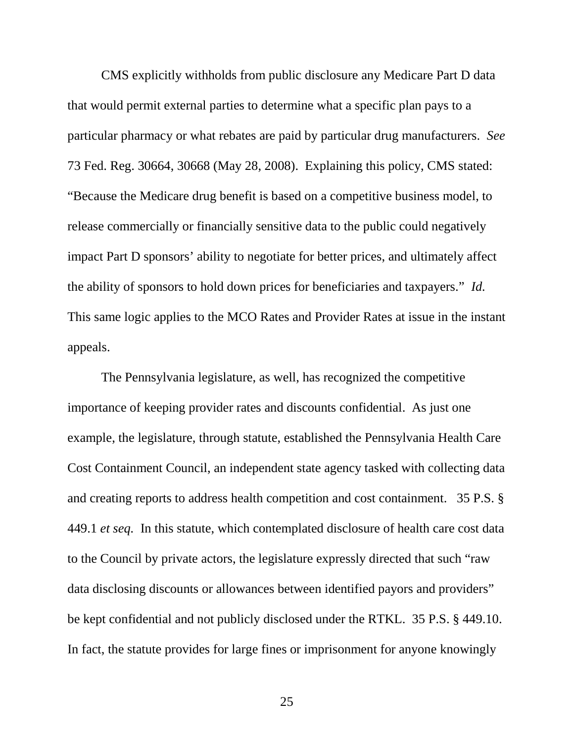CMS explicitly withholds from public disclosure any Medicare Part D data that would permit external parties to determine what a specific plan pays to a particular pharmacy or what rebates are paid by particular drug manufacturers. *See* 73 Fed. Reg. 30664, 30668 (May 28, 2008). Explaining this policy, CMS stated: "Because the Medicare drug benefit is based on a competitive business model, to release commercially or financially sensitive data to the public could negatively impact Part D sponsors' ability to negotiate for better prices, and ultimately affect the ability of sponsors to hold down prices for beneficiaries and taxpayers." *Id.* This same logic applies to the MCO Rates and Provider Rates at issue in the instant appeals.

The Pennsylvania legislature, as well, has recognized the competitive importance of keeping provider rates and discounts confidential. As just one example, the legislature, through statute, established the Pennsylvania Health Care Cost Containment Council, an independent state agency tasked with collecting data and creating reports to address health competition and cost containment. 35 P.S. § 449.1 *et seq.* In this statute, which contemplated disclosure of health care cost data to the Council by private actors, the legislature expressly directed that such "raw data disclosing discounts or allowances between identified payors and providers" be kept confidential and not publicly disclosed under the RTKL. 35 P.S. § 449.10. In fact, the statute provides for large fines or imprisonment for anyone knowingly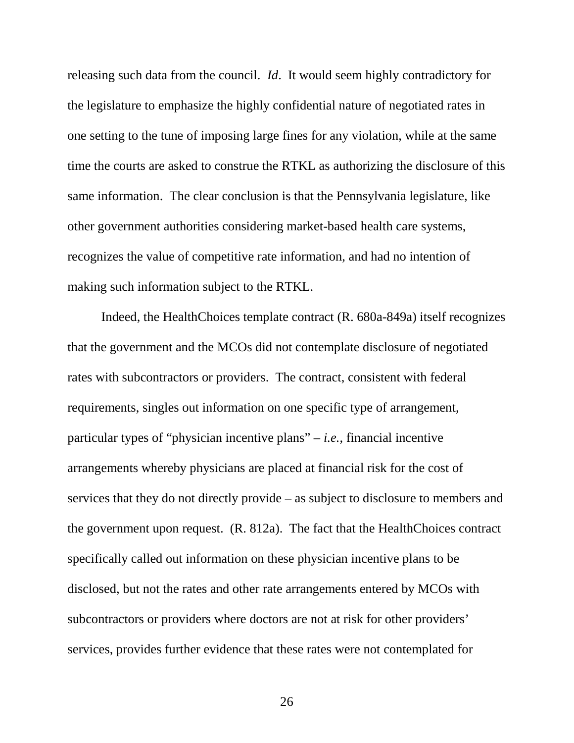releasing such data from the council. *Id*. It would seem highly contradictory for the legislature to emphasize the highly confidential nature of negotiated rates in one setting to the tune of imposing large fines for any violation, while at the same time the courts are asked to construe the RTKL as authorizing the disclosure of this same information. The clear conclusion is that the Pennsylvania legislature, like other government authorities considering market-based health care systems, recognizes the value of competitive rate information, and had no intention of making such information subject to the RTKL.

Indeed, the HealthChoices template contract (R. 680a-849a) itself recognizes that the government and the MCOs did not contemplate disclosure of negotiated rates with subcontractors or providers. The contract, consistent with federal requirements, singles out information on one specific type of arrangement, particular types of "physician incentive plans" – *i.e.*, financial incentive arrangements whereby physicians are placed at financial risk for the cost of services that they do not directly provide – as subject to disclosure to members and the government upon request. (R. 812a). The fact that the HealthChoices contract specifically called out information on these physician incentive plans to be disclosed, but not the rates and other rate arrangements entered by MCOs with subcontractors or providers where doctors are not at risk for other providers' services, provides further evidence that these rates were not contemplated for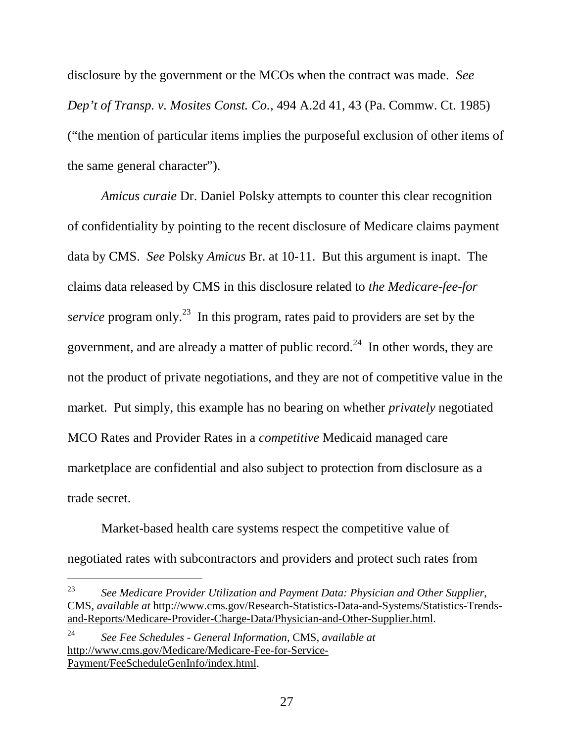disclosure by the government or the MCOs when the contract was made. *See Dep't of Transp. v. Mosites Const. Co.*, 494 A.2d 41, 43 (Pa. Commw. Ct. 1985) ("the mention of particular items implies the purposeful exclusion of other items of the same general character").

*Amicus curaie* Dr. Daniel Polsky attempts to counter this clear recognition of confidentiality by pointing to the recent disclosure of Medicare claims payment data by CMS. *See* Polsky *Amicus* Br. at 10-11. But this argument is inapt. The claims data released by CMS in this disclosure related to *the Medicare-fee-for service* program only.<sup>23</sup> In this program, rates paid to providers are set by the government, and are already a matter of public record.<sup>24</sup> In other words, they are not the product of private negotiations, and they are not of competitive value in the market. Put simply, this example has no bearing on whether *privately* negotiated MCO Rates and Provider Rates in a *competitive* Medicaid managed care marketplace are confidential and also subject to protection from disclosure as a trade secret.

Market-based health care systems respect the competitive value of negotiated rates with subcontractors and providers and protect such rates from

<sup>23</sup> *See Medicare Provider Utilization and Payment Data: Physician and Other Supplier*, CMS, *available at* http://www.cms.gov/Research-Statistics-Data-and-Systems/Statistics-Trendsand-Reports/Medicare-Provider-Charge-Data/Physician-and-Other-Supplier.html.

<sup>24</sup> *See Fee Schedules - General Information*, CMS, *available at* http://www.cms.gov/Medicare/Medicare-Fee-for-Service-Payment/FeeScheduleGenInfo/index.html.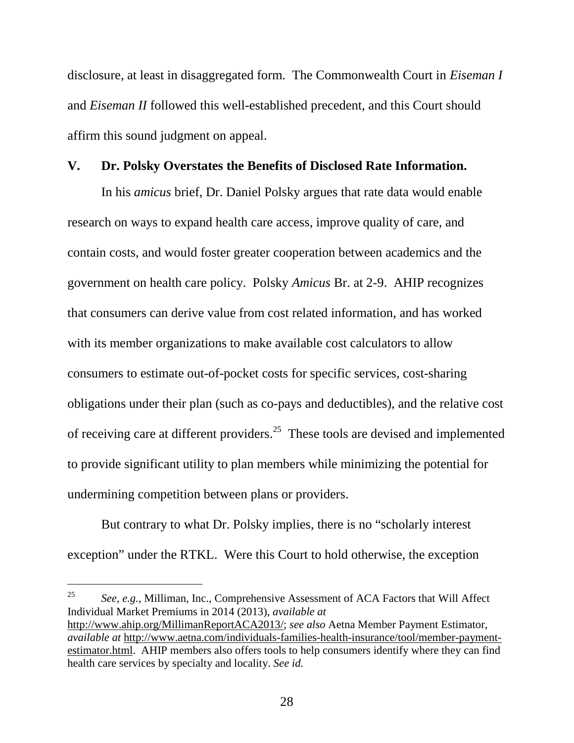disclosure, at least in disaggregated form. The Commonwealth Court in *Eiseman I* and *Eiseman II* followed this well-established precedent, and this Court should affirm this sound judgment on appeal.

### **V. Dr. Polsky Overstates the Benefits of Disclosed Rate Information.**

In his *amicus* brief, Dr. Daniel Polsky argues that rate data would enable research on ways to expand health care access, improve quality of care, and contain costs, and would foster greater cooperation between academics and the government on health care policy. Polsky *Amicus* Br. at 2-9. AHIP recognizes that consumers can derive value from cost related information, and has worked with its member organizations to make available cost calculators to allow consumers to estimate out-of-pocket costs for specific services, cost-sharing obligations under their plan (such as co-pays and deductibles), and the relative cost of receiving care at different providers.<sup>25</sup> These tools are devised and implemented to provide significant utility to plan members while minimizing the potential for undermining competition between plans or providers.

But contrary to what Dr. Polsky implies, there is no "scholarly interest exception" under the RTKL. Were this Court to hold otherwise, the exception

<sup>25</sup> *See, e.g.*, Milliman, Inc., Comprehensive Assessment of ACA Factors that Will Affect Individual Market Premiums in 2014 (2013), *available at* http://www.ahip.org/MillimanReportACA2013/; *see also* Aetna Member Payment Estimator, *available at* http://www.aetna.com/individuals-families-health-insurance/tool/member-paymentestimator.html. AHIP members also offers tools to help consumers identify where they can find health care services by specialty and locality. *See id.*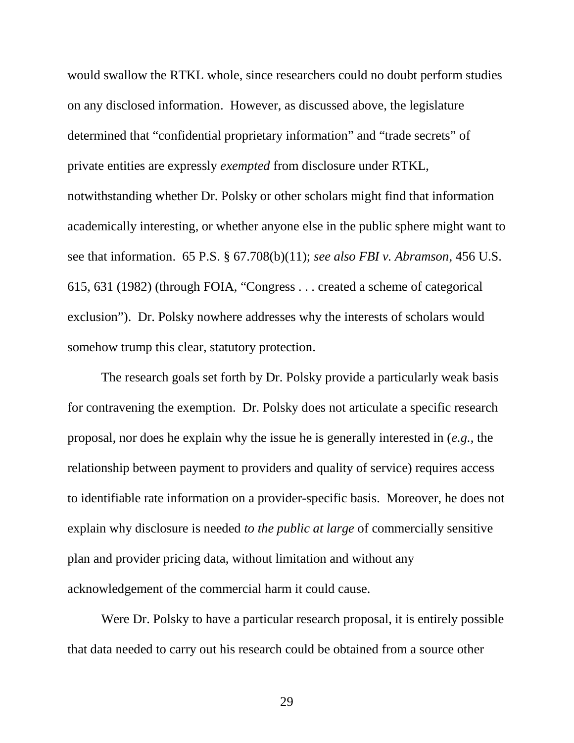would swallow the RTKL whole, since researchers could no doubt perform studies on any disclosed information. However, as discussed above, the legislature determined that "confidential proprietary information" and "trade secrets" of private entities are expressly *exempted* from disclosure under RTKL, notwithstanding whether Dr. Polsky or other scholars might find that information academically interesting, or whether anyone else in the public sphere might want to see that information. 65 P.S. § 67.708(b)(11); *see also FBI v. Abramson*, 456 U.S. 615, 631 (1982) (through FOIA, "Congress . . . created a scheme of categorical exclusion"). Dr. Polsky nowhere addresses why the interests of scholars would somehow trump this clear, statutory protection.

The research goals set forth by Dr. Polsky provide a particularly weak basis for contravening the exemption. Dr. Polsky does not articulate a specific research proposal, nor does he explain why the issue he is generally interested in (*e.g.*, the relationship between payment to providers and quality of service) requires access to identifiable rate information on a provider-specific basis. Moreover, he does not explain why disclosure is needed *to the public at large* of commercially sensitive plan and provider pricing data, without limitation and without any acknowledgement of the commercial harm it could cause.

Were Dr. Polsky to have a particular research proposal, it is entirely possible that data needed to carry out his research could be obtained from a source other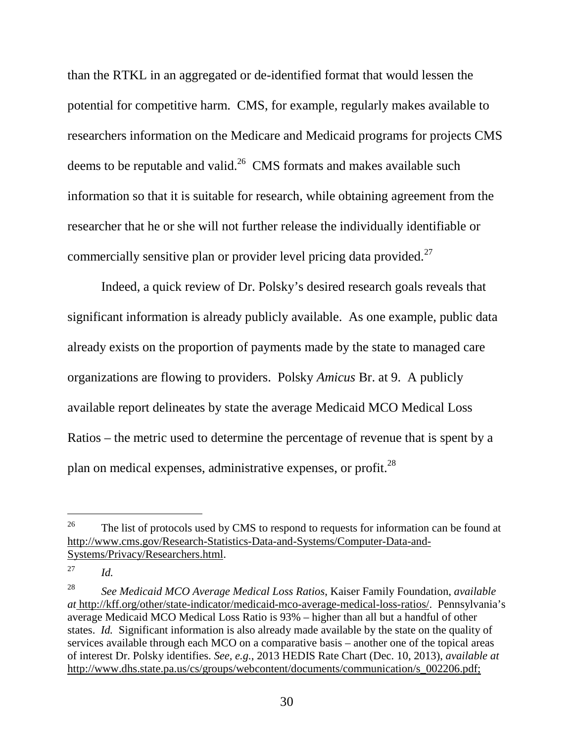than the RTKL in an aggregated or de-identified format that would lessen the potential for competitive harm. CMS, for example, regularly makes available to researchers information on the Medicare and Medicaid programs for projects CMS deems to be reputable and valid.<sup>26</sup> CMS formats and makes available such information so that it is suitable for research, while obtaining agreement from the researcher that he or she will not further release the individually identifiable or commercially sensitive plan or provider level pricing data provided.<sup>27</sup>

Indeed, a quick review of Dr. Polsky's desired research goals reveals that significant information is already publicly available. As one example, public data already exists on the proportion of payments made by the state to managed care organizations are flowing to providers. Polsky *Amicus* Br. at 9. A publicly available report delineates by state the average Medicaid MCO Medical Loss Ratios – the metric used to determine the percentage of revenue that is spent by a plan on medical expenses, administrative expenses, or profit.<sup>28</sup>

<sup>&</sup>lt;sup>26</sup> The list of protocols used by CMS to respond to requests for information can be found at http://www.cms.gov/Research-Statistics-Data-and-Systems/Computer-Data-and-Systems/Privacy/Researchers.html.

<sup>27</sup> *Id.*

<sup>28</sup> *See Medicaid MCO Average Medical Loss Ratios*, Kaiser Family Foundation, *available at* http://kff.org/other/state-indicator/medicaid-mco-average-medical-loss-ratios/. Pennsylvania's average Medicaid MCO Medical Loss Ratio is 93% – higher than all but a handful of other states. *Id.* Significant information is also already made available by the state on the quality of services available through each MCO on a comparative basis – another one of the topical areas of interest Dr. Polsky identifies. *See, e.g.*, 2013 HEDIS Rate Chart (Dec. 10, 2013), *available at* http://www.dhs.state.pa.us/cs/groups/webcontent/documents/communication/s\_002206.pdf;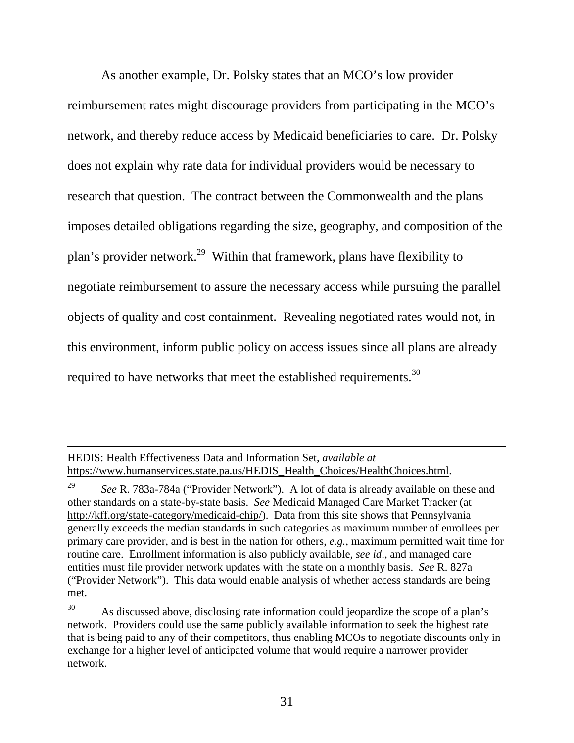As another example, Dr. Polsky states that an MCO's low provider reimbursement rates might discourage providers from participating in the MCO's network, and thereby reduce access by Medicaid beneficiaries to care. Dr. Polsky does not explain why rate data for individual providers would be necessary to research that question. The contract between the Commonwealth and the plans imposes detailed obligations regarding the size, geography, and composition of the plan's provider network.<sup>29</sup> Within that framework, plans have flexibility to negotiate reimbursement to assure the necessary access while pursuing the parallel objects of quality and cost containment. Revealing negotiated rates would not, in this environment, inform public policy on access issues since all plans are already required to have networks that meet the established requirements.<sup>30</sup>

HEDIS: Health Effectiveness Data and Information Set, *available at* https://www.humanservices.state.pa.us/HEDIS\_Health\_Choices/HealthChoices.html.

<sup>29</sup> *See* R. 783a-784a ("Provider Network"). A lot of data is already available on these and other standards on a state-by-state basis. *See* Medicaid Managed Care Market Tracker (at http://kff.org/state-category/medicaid-chip/). Data from this site shows that Pennsylvania generally exceeds the median standards in such categories as maximum number of enrollees per primary care provider, and is best in the nation for others, *e.g.*, maximum permitted wait time for routine care. Enrollment information is also publicly available, *see id*., and managed care entities must file provider network updates with the state on a monthly basis. *See* R. 827a ("Provider Network"). This data would enable analysis of whether access standards are being met.

 $30$  As discussed above, disclosing rate information could jeopardize the scope of a plan's network. Providers could use the same publicly available information to seek the highest rate that is being paid to any of their competitors, thus enabling MCOs to negotiate discounts only in exchange for a higher level of anticipated volume that would require a narrower provider network.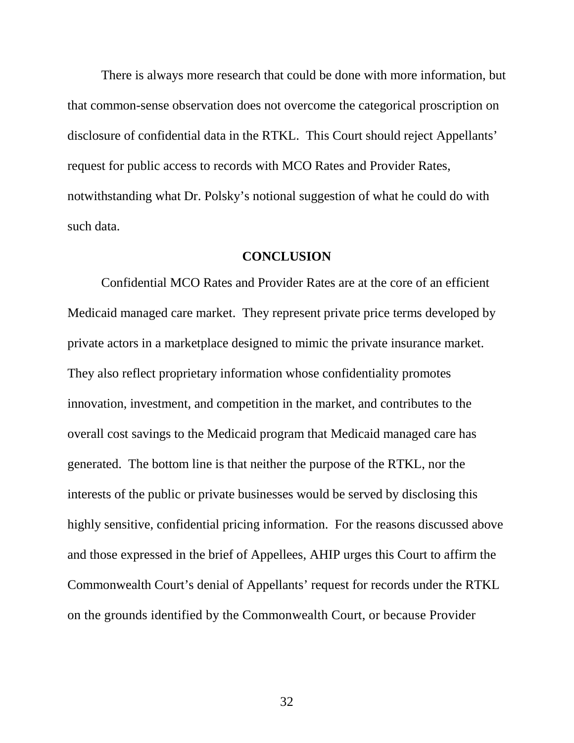There is always more research that could be done with more information, but that common-sense observation does not overcome the categorical proscription on disclosure of confidential data in the RTKL. This Court should reject Appellants' request for public access to records with MCO Rates and Provider Rates, notwithstanding what Dr. Polsky's notional suggestion of what he could do with such data.

### **CONCLUSION**

Confidential MCO Rates and Provider Rates are at the core of an efficient Medicaid managed care market. They represent private price terms developed by private actors in a marketplace designed to mimic the private insurance market. They also reflect proprietary information whose confidentiality promotes innovation, investment, and competition in the market, and contributes to the overall cost savings to the Medicaid program that Medicaid managed care has generated. The bottom line is that neither the purpose of the RTKL, nor the interests of the public or private businesses would be served by disclosing this highly sensitive, confidential pricing information. For the reasons discussed above and those expressed in the brief of Appellees, AHIP urges this Court to affirm the Commonwealth Court's denial of Appellants' request for records under the RTKL on the grounds identified by the Commonwealth Court, or because Provider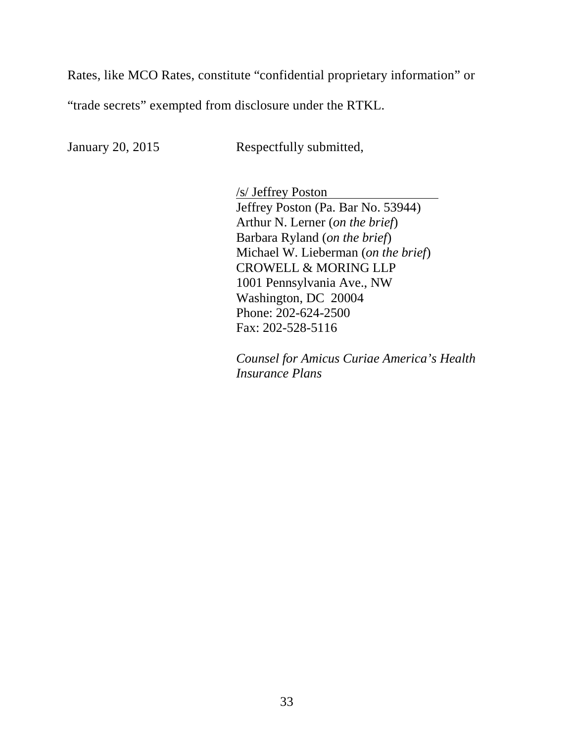Rates, like MCO Rates, constitute "confidential proprietary information" or

"trade secrets" exempted from disclosure under the RTKL.

January 20, 2015 Respectfully submitted,

/s/ Jeffrey Poston Jeffrey Poston (Pa. Bar No. 53944) Arthur N. Lerner (*on the brief*) Barbara Ryland (*on the brief*) Michael W. Lieberman (*on the brief*) CROWELL & MORING LLP 1001 Pennsylvania Ave., NW Washington, DC 20004 Phone: 202-624-2500 Fax: 202-528-5116

*Counsel for Amicus Curiae America's Health Insurance Plans*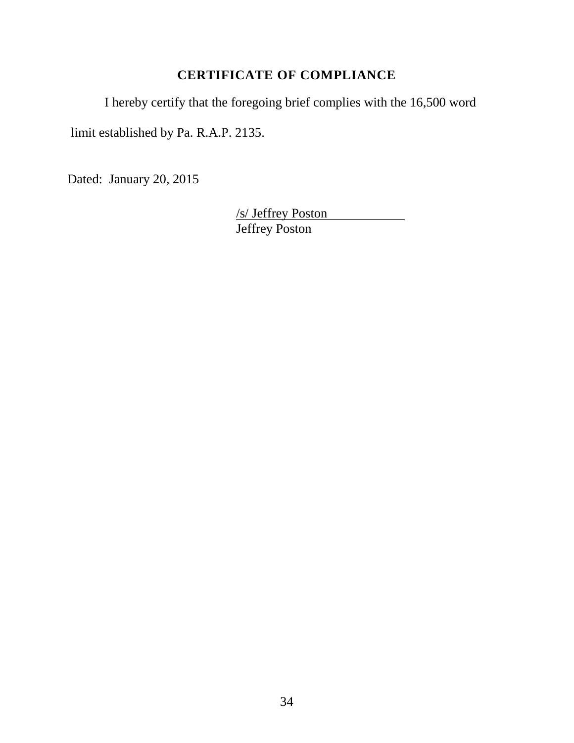# **CERTIFICATE OF COMPLIANCE**

I hereby certify that the foregoing brief complies with the 16,500 word

limit established by Pa. R.A.P. 2135.

Dated: January 20, 2015

/s/ Jeffrey Poston Jeffrey Poston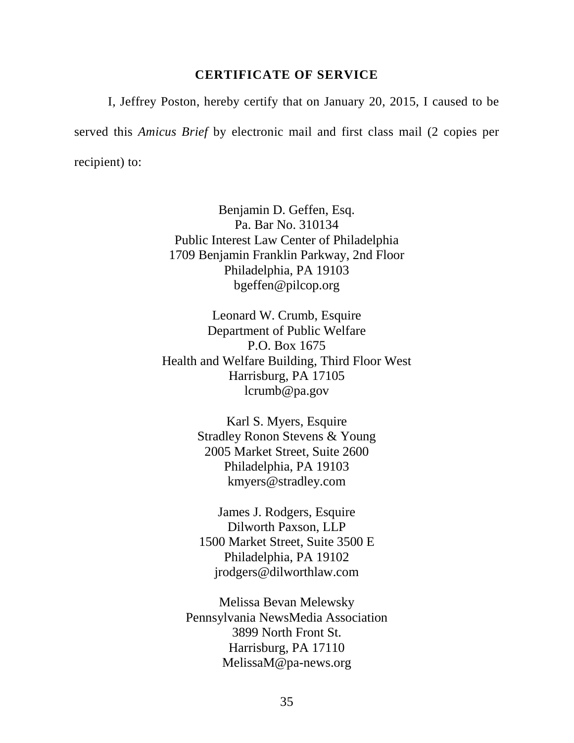#### **CERTIFICATE OF SERVICE**

I, Jeffrey Poston, hereby certify that on January 20, 2015, I caused to be served this *Amicus Brief* by electronic mail and first class mail (2 copies per recipient) to:

> Benjamin D. Geffen, Esq. Pa. Bar No. 310134 Public Interest Law Center of Philadelphia 1709 Benjamin Franklin Parkway, 2nd Floor Philadelphia, PA 19103 bgeffen@pilcop.org

Leonard W. Crumb, Esquire Department of Public Welfare P.O. Box 1675 Health and Welfare Building, Third Floor West Harrisburg, PA 17105 lcrumb@pa.gov

> Karl S. Myers, Esquire Stradley Ronon Stevens & Young 2005 Market Street, Suite 2600 Philadelphia, PA 19103 kmyers@stradley.com

James J. Rodgers, Esquire Dilworth Paxson, LLP 1500 Market Street, Suite 3500 E Philadelphia, PA 19102 jrodgers@dilworthlaw.com

Melissa Bevan Melewsky Pennsylvania NewsMedia Association 3899 North Front St. Harrisburg, PA 17110 MelissaM@pa-news.org